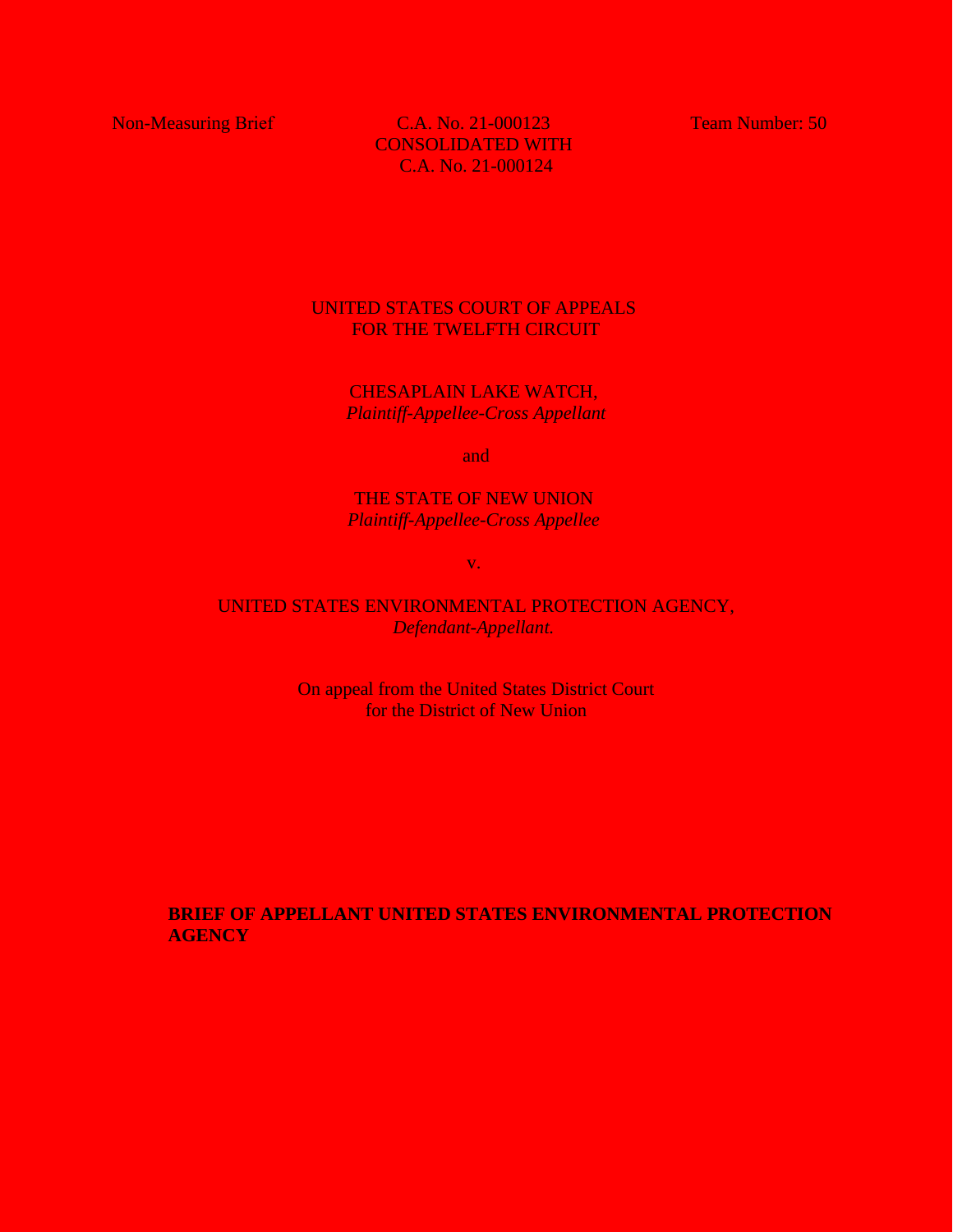Non-Measuring Brief C.A. No. 21-000123 Team Number: 50 CONSOLIDATED WITH C.A. No. 21-000124

# UNITED STATES COURT OF APPEALS FOR THE TWELFTH CIRCUIT

CHESAPLAIN LAKE WATCH, *Plaintiff-Appellee-Cross Appellant*

and

## THE STATE OF NEW UNION *Plaintiff-Appellee-Cross Appellee*

v.

## UNITED STATES ENVIRONMENTAL PROTECTION AGENCY, *Defendant-Appellant.*

On appeal from the United States District Court for the District of New Union

**BRIEF OF APPELLANT UNITED STATES ENVIRONMENTAL PROTECTION AGENCY**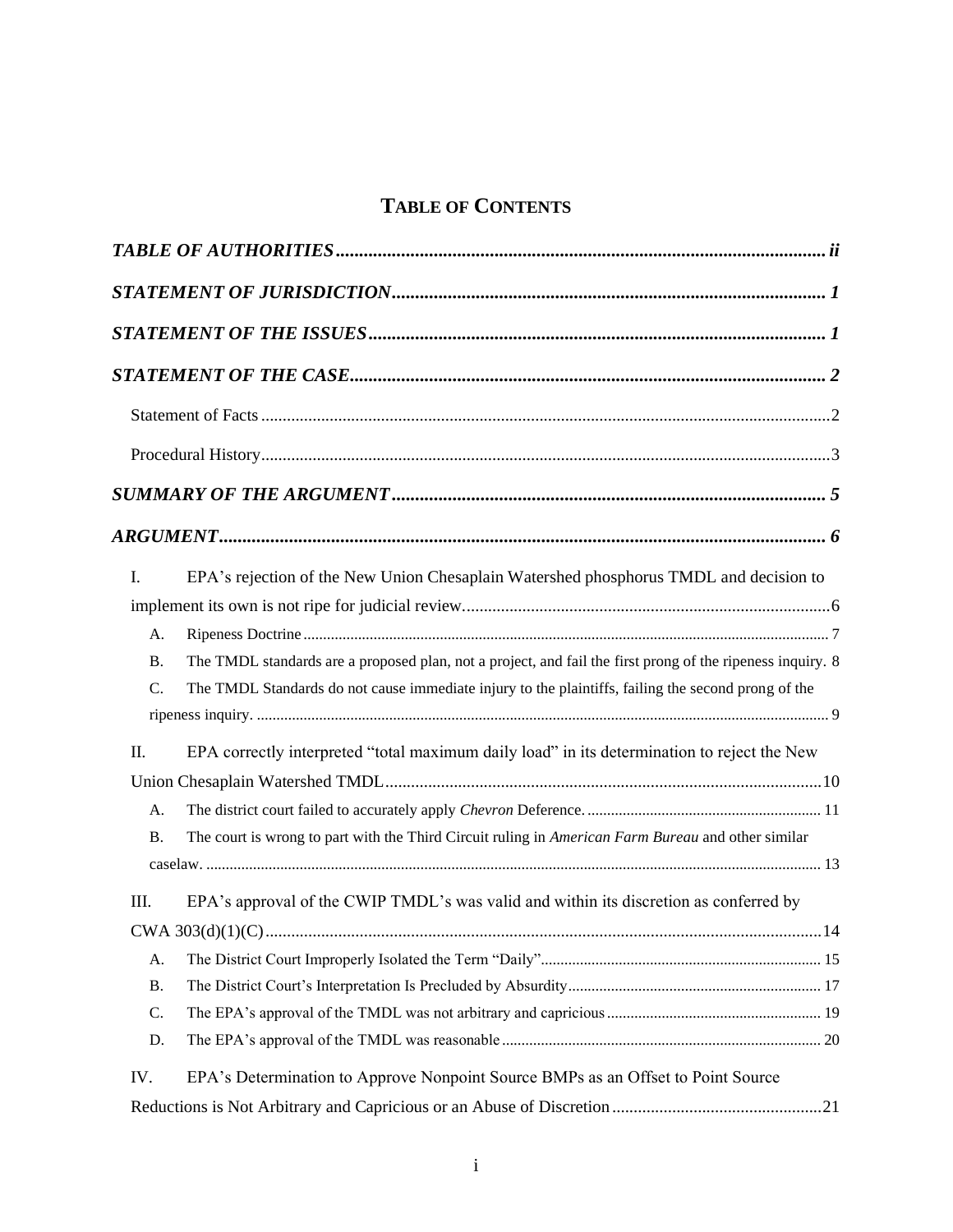# **TABLE OF CONTENTS**

| I.   | EPA's rejection of the New Union Chesaplain Watershed phosphorus TMDL and decision to                      |
|------|------------------------------------------------------------------------------------------------------------|
|      |                                                                                                            |
| A.   |                                                                                                            |
| Β.   | The TMDL standards are a proposed plan, not a project, and fail the first prong of the ripeness inquiry. 8 |
| C.   | The TMDL Standards do not cause immediate injury to the plaintiffs, failing the second prong of the        |
|      |                                                                                                            |
| Π.   | EPA correctly interpreted "total maximum daily load" in its determination to reject the New                |
|      |                                                                                                            |
| А.   |                                                                                                            |
| Β.   | The court is wrong to part with the Third Circuit ruling in American Farm Bureau and other similar         |
|      |                                                                                                            |
| III. | EPA's approval of the CWIP TMDL's was valid and within its discretion as conferred by                      |
|      |                                                                                                            |
| А.   |                                                                                                            |
| Β.   |                                                                                                            |
| C.   |                                                                                                            |
| D.   |                                                                                                            |
| IV.  | EPA's Determination to Approve Nonpoint Source BMPs as an Offset to Point Source                           |
|      |                                                                                                            |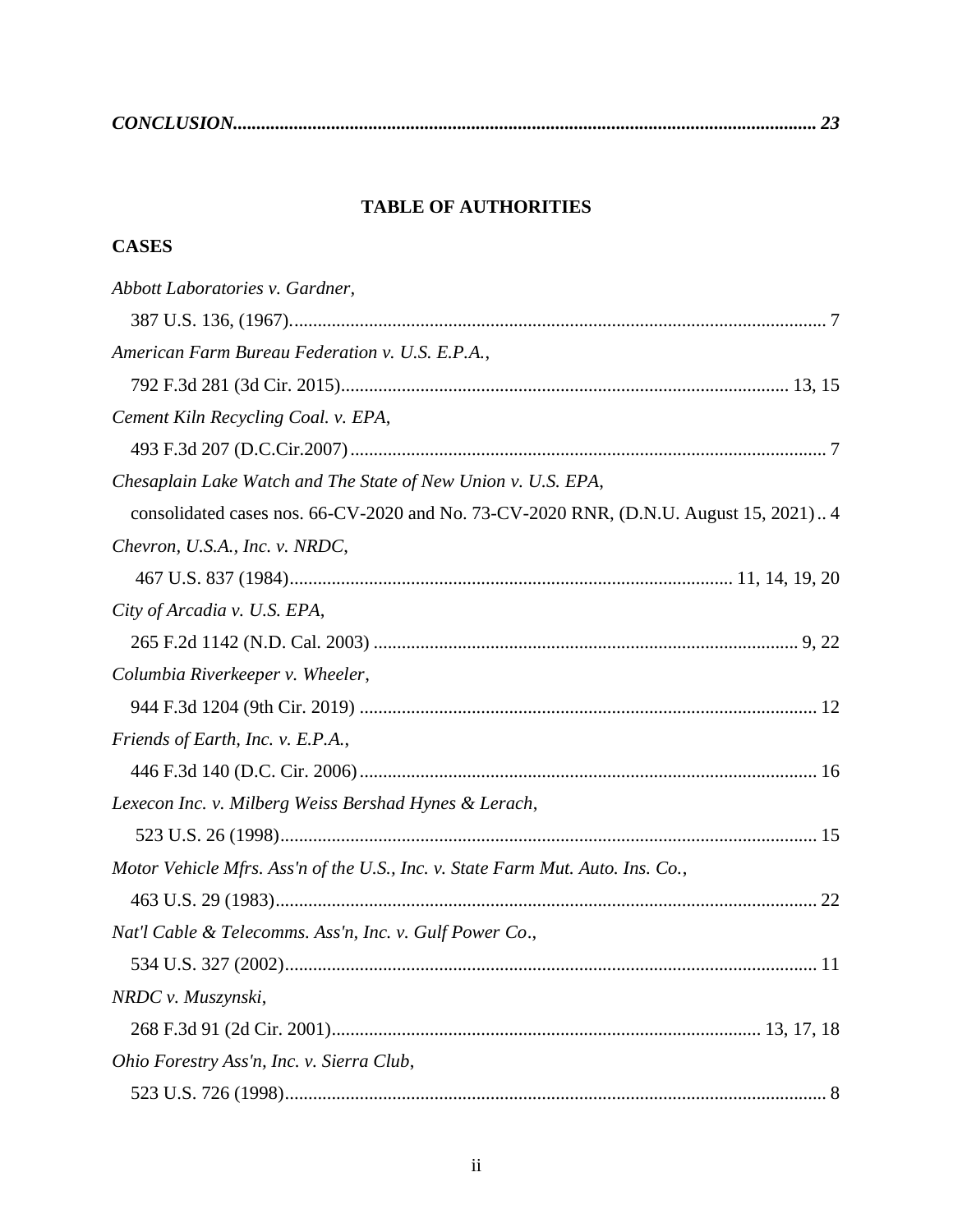<span id="page-2-0"></span>

|--|

# **TABLE OF AUTHORITIES**

# **CASES**

| Abbott Laboratories v. Gardner,                                                       |
|---------------------------------------------------------------------------------------|
|                                                                                       |
| American Farm Bureau Federation v. U.S. E.P.A.,                                       |
|                                                                                       |
| Cement Kiln Recycling Coal. v. EPA,                                                   |
|                                                                                       |
| Chesaplain Lake Watch and The State of New Union v. U.S. EPA,                         |
| consolidated cases nos. 66-CV-2020 and No. 73-CV-2020 RNR, (D.N.U. August 15, 2021) 4 |
| Chevron, U.S.A., Inc. v. NRDC,                                                        |
|                                                                                       |
| City of Arcadia v. U.S. EPA,                                                          |
|                                                                                       |
| Columbia Riverkeeper v. Wheeler,                                                      |
|                                                                                       |
| Friends of Earth, Inc. v. E.P.A.,                                                     |
|                                                                                       |
| Lexecon Inc. v. Milberg Weiss Bershad Hynes & Lerach,                                 |
|                                                                                       |
| Motor Vehicle Mfrs. Ass'n of the U.S., Inc. v. State Farm Mut. Auto. Ins. Co.,        |
|                                                                                       |
| Nat'l Cable & Telecomms. Ass'n, Inc. v. Gulf Power Co.,                               |
|                                                                                       |
| NRDC v. Muszynski,                                                                    |
|                                                                                       |
| Ohio Forestry Ass'n, Inc. v. Sierra Club,                                             |
|                                                                                       |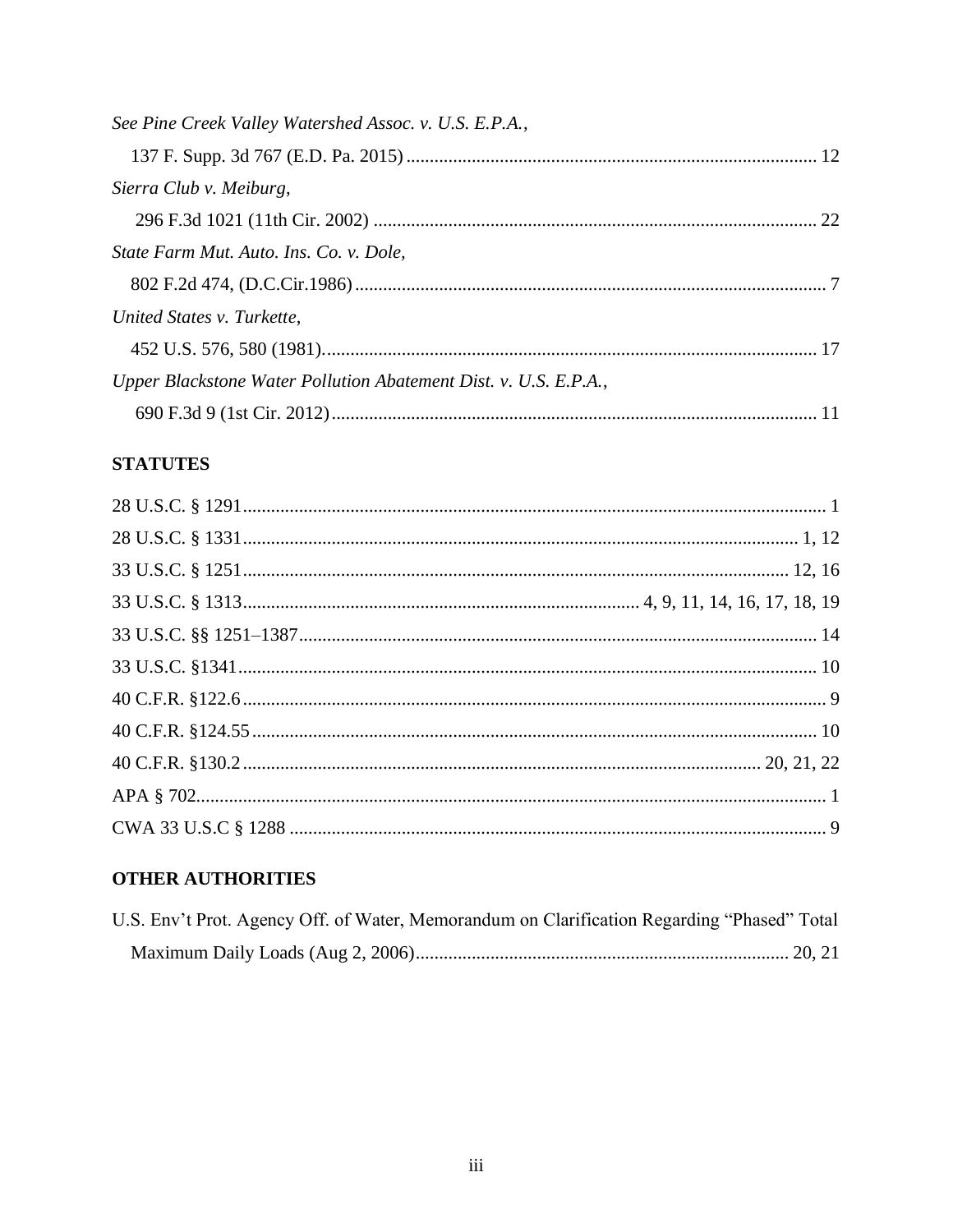| See Pine Creek Valley Watershed Assoc. v. U.S. E.P.A.,           |  |
|------------------------------------------------------------------|--|
|                                                                  |  |
| Sierra Club v. Meiburg,                                          |  |
|                                                                  |  |
| State Farm Mut. Auto. Ins. Co. v. Dole,                          |  |
|                                                                  |  |
| United States v. Turkette,                                       |  |
|                                                                  |  |
| Upper Blackstone Water Pollution Abatement Dist. v. U.S. E.P.A., |  |
|                                                                  |  |

# **STATUTES**

# **OTHER AUTHORITIES**

| U.S. Env't Prot. Agency Off. of Water, Memorandum on Clarification Regarding "Phased" Total |  |
|---------------------------------------------------------------------------------------------|--|
|                                                                                             |  |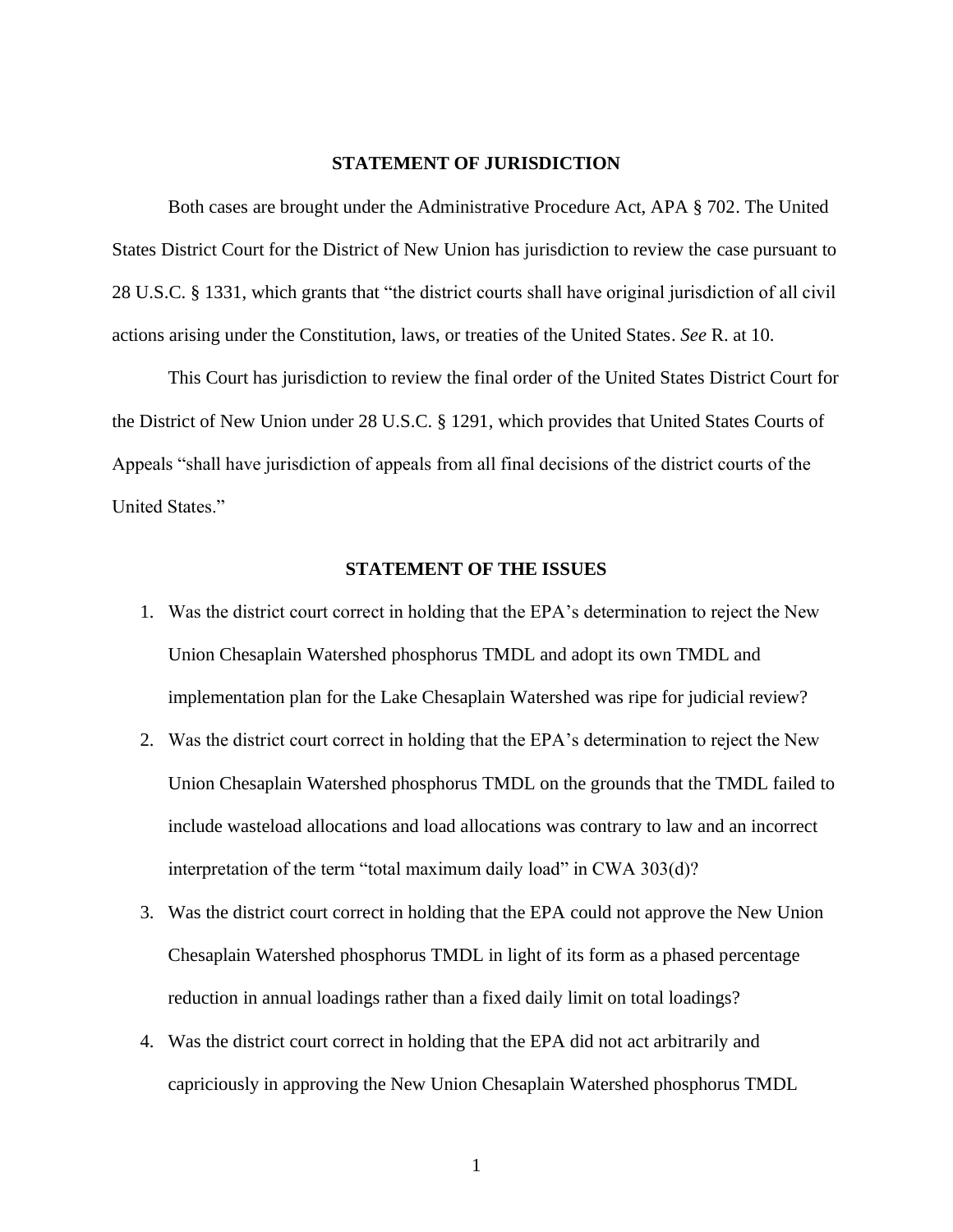#### **STATEMENT OF JURISDICTION**

<span id="page-4-0"></span>Both cases are brought under the Administrative Procedure Act, APA § 702. The United States District Court for the District of New Union has jurisdiction to review the case pursuant to 28 U.S.C. § 1331, which grants that "the district courts shall have original jurisdiction of all civil actions arising under the Constitution, laws, or treaties of the United States. *See* R. at 10.

This Court has jurisdiction to review the final order of the United States District Court for the District of New Union under 28 U.S.C. § 1291, which provides that United States Courts of Appeals "shall have jurisdiction of appeals from all final decisions of the district courts of the United States."

### **STATEMENT OF THE ISSUES**

- <span id="page-4-1"></span>1. Was the district court correct in holding that the EPA's determination to reject the New Union Chesaplain Watershed phosphorus TMDL and adopt its own TMDL and implementation plan for the Lake Chesaplain Watershed was ripe for judicial review?
- 2. Was the district court correct in holding that the EPA's determination to reject the New Union Chesaplain Watershed phosphorus TMDL on the grounds that the TMDL failed to include wasteload allocations and load allocations was contrary to law and an incorrect interpretation of the term "total maximum daily load" in CWA 303(d)?
- 3. Was the district court correct in holding that the EPA could not approve the New Union Chesaplain Watershed phosphorus TMDL in light of its form as a phased percentage reduction in annual loadings rather than a fixed daily limit on total loadings?
- 4. Was the district court correct in holding that the EPA did not act arbitrarily and capriciously in approving the New Union Chesaplain Watershed phosphorus TMDL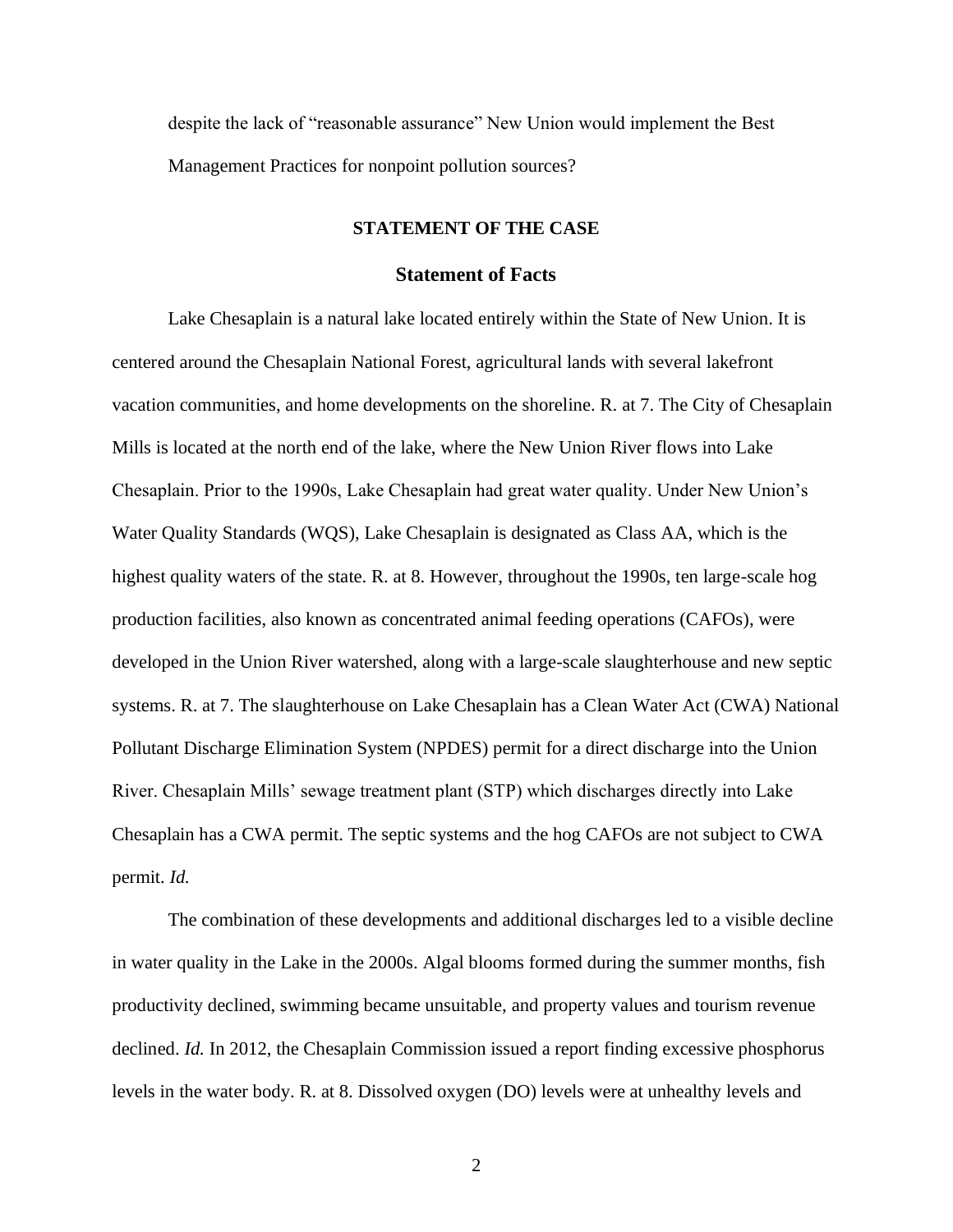<span id="page-5-0"></span>despite the lack of "reasonable assurance" New Union would implement the Best Management Practices for nonpoint pollution sources?

#### **STATEMENT OF THE CASE**

### **Statement of Facts**

<span id="page-5-1"></span>Lake Chesaplain is a natural lake located entirely within the State of New Union. It is centered around the Chesaplain National Forest, agricultural lands with several lakefront vacation communities, and home developments on the shoreline. R. at 7. The City of Chesaplain Mills is located at the north end of the lake, where the New Union River flows into Lake Chesaplain. Prior to the 1990s, Lake Chesaplain had great water quality. Under New Union's Water Quality Standards (WQS), Lake Chesaplain is designated as Class AA, which is the highest quality waters of the state. R. at 8. However, throughout the 1990s, ten large-scale hog production facilities, also known as concentrated animal feeding operations (CAFOs), were developed in the Union River watershed, along with a large-scale slaughterhouse and new septic systems. R. at 7. The slaughterhouse on Lake Chesaplain has a Clean Water Act (CWA) National Pollutant Discharge Elimination System (NPDES) permit for a direct discharge into the Union River. Chesaplain Mills' sewage treatment plant (STP) which discharges directly into Lake Chesaplain has a CWA permit. The septic systems and the hog CAFOs are not subject to CWA permit. *Id.*

The combination of these developments and additional discharges led to a visible decline in water quality in the Lake in the 2000s. Algal blooms formed during the summer months, fish productivity declined, swimming became unsuitable, and property values and tourism revenue declined. *Id.* In 2012, the Chesaplain Commission issued a report finding excessive phosphorus levels in the water body. R. at 8. Dissolved oxygen (DO) levels were at unhealthy levels and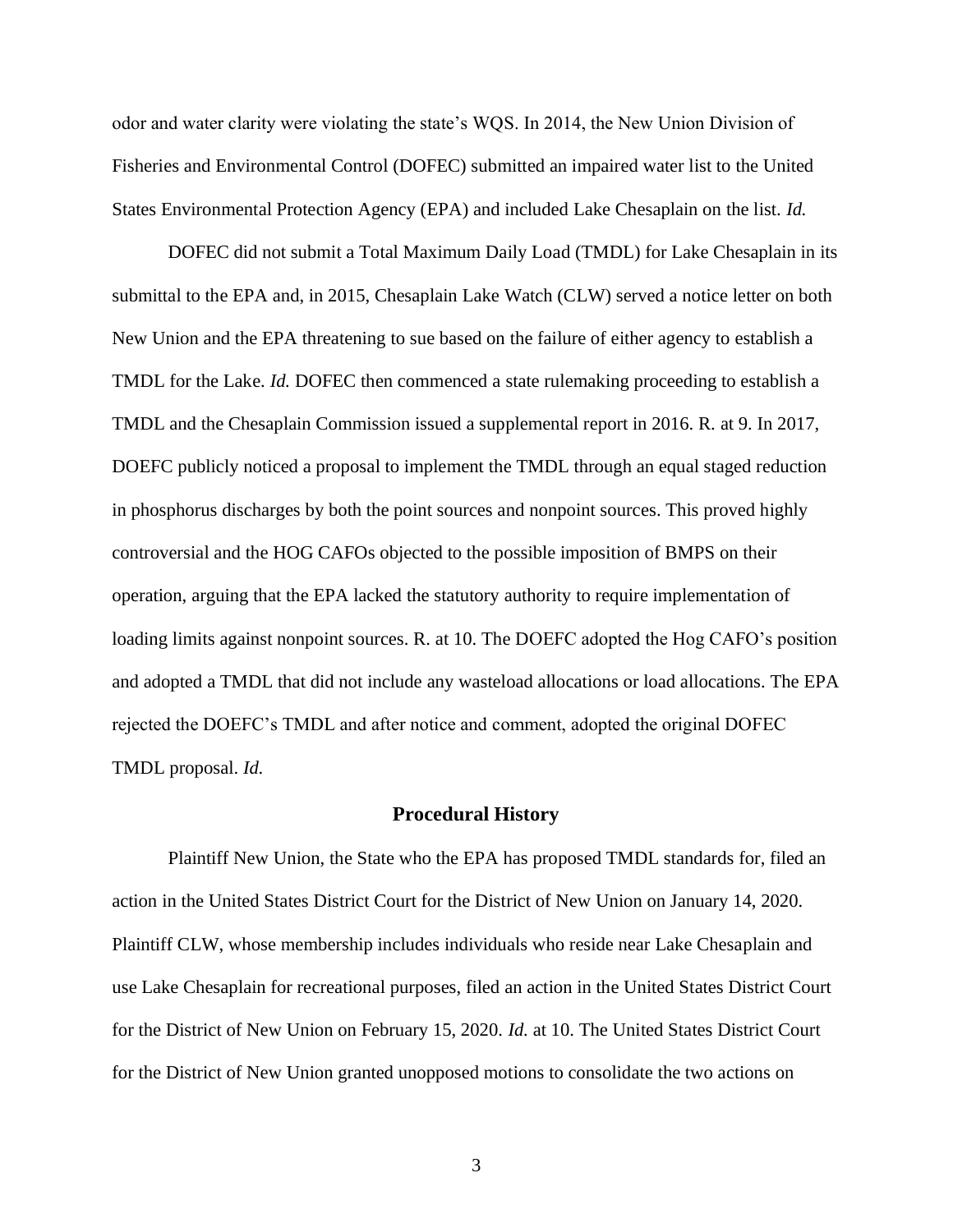odor and water clarity were violating the state's WQS. In 2014, the New Union Division of Fisheries and Environmental Control (DOFEC) submitted an impaired water list to the United States Environmental Protection Agency (EPA) and included Lake Chesaplain on the list. *Id.*

DOFEC did not submit a Total Maximum Daily Load (TMDL) for Lake Chesaplain in its submittal to the EPA and, in 2015, Chesaplain Lake Watch (CLW) served a notice letter on both New Union and the EPA threatening to sue based on the failure of either agency to establish a TMDL for the Lake. *Id.* DOFEC then commenced a state rulemaking proceeding to establish a TMDL and the Chesaplain Commission issued a supplemental report in 2016. R. at 9. In 2017, DOEFC publicly noticed a proposal to implement the TMDL through an equal staged reduction in phosphorus discharges by both the point sources and nonpoint sources. This proved highly controversial and the HOG CAFOs objected to the possible imposition of BMPS on their operation, arguing that the EPA lacked the statutory authority to require implementation of loading limits against nonpoint sources. R. at 10. The DOEFC adopted the Hog CAFO's position and adopted a TMDL that did not include any wasteload allocations or load allocations. The EPA rejected the DOEFC's TMDL and after notice and comment, adopted the original DOFEC TMDL proposal. *Id.*

### **Procedural History**

<span id="page-6-0"></span>Plaintiff New Union, the State who the EPA has proposed TMDL standards for, filed an action in the United States District Court for the District of New Union on January 14, 2020. Plaintiff CLW, whose membership includes individuals who reside near Lake Chesaplain and use Lake Chesaplain for recreational purposes, filed an action in the United States District Court for the District of New Union on February 15, 2020. *Id.* at 10. The United States District Court for the District of New Union granted unopposed motions to consolidate the two actions on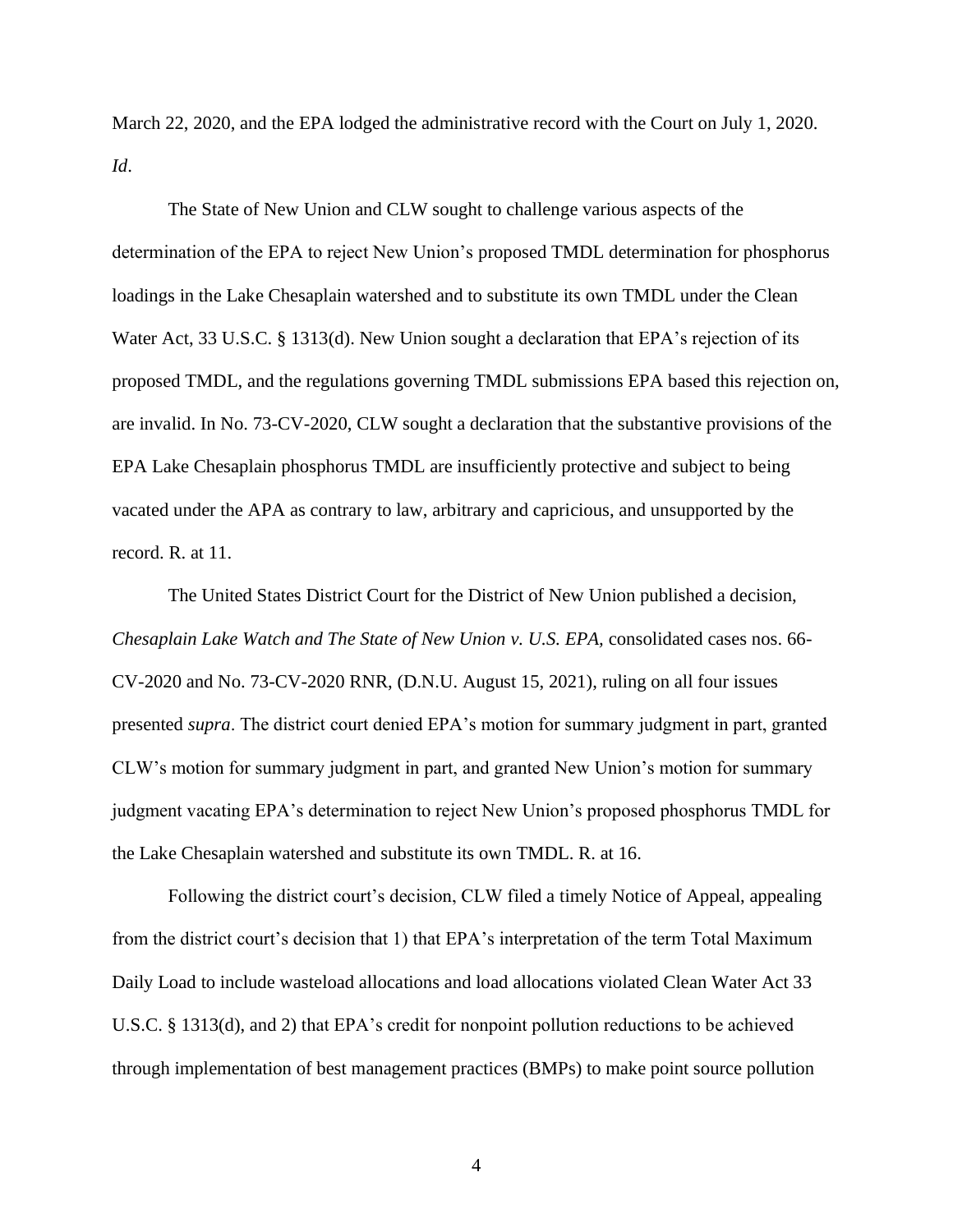March 22, 2020, and the EPA lodged the administrative record with the Court on July 1, 2020. *Id*.

The State of New Union and CLW sought to challenge various aspects of the determination of the EPA to reject New Union's proposed TMDL determination for phosphorus loadings in the Lake Chesaplain watershed and to substitute its own TMDL under the Clean Water Act, 33 U.S.C. § 1313(d). New Union sought a declaration that EPA's rejection of its proposed TMDL, and the regulations governing TMDL submissions EPA based this rejection on, are invalid. In No. 73-CV-2020, CLW sought a declaration that the substantive provisions of the EPA Lake Chesaplain phosphorus TMDL are insufficiently protective and subject to being vacated under the APA as contrary to law, arbitrary and capricious, and unsupported by the record. R. at 11.

The United States District Court for the District of New Union published a decision, *Chesaplain Lake Watch and The State of New Union v. U.S. EPA,* consolidated cases nos. 66- CV-2020 and No. 73-CV-2020 RNR, (D.N.U. August 15, 2021), ruling on all four issues presented *supra*. The district court denied EPA's motion for summary judgment in part, granted CLW's motion for summary judgment in part, and granted New Union's motion for summary judgment vacating EPA's determination to reject New Union's proposed phosphorus TMDL for the Lake Chesaplain watershed and substitute its own TMDL. R. at 16.

Following the district court's decision, CLW filed a timely Notice of Appeal, appealing from the district court's decision that 1) that EPA's interpretation of the term Total Maximum Daily Load to include wasteload allocations and load allocations violated Clean Water Act 33 U.S.C. § 1313(d), and 2) that EPA's credit for nonpoint pollution reductions to be achieved through implementation of best management practices (BMPs) to make point source pollution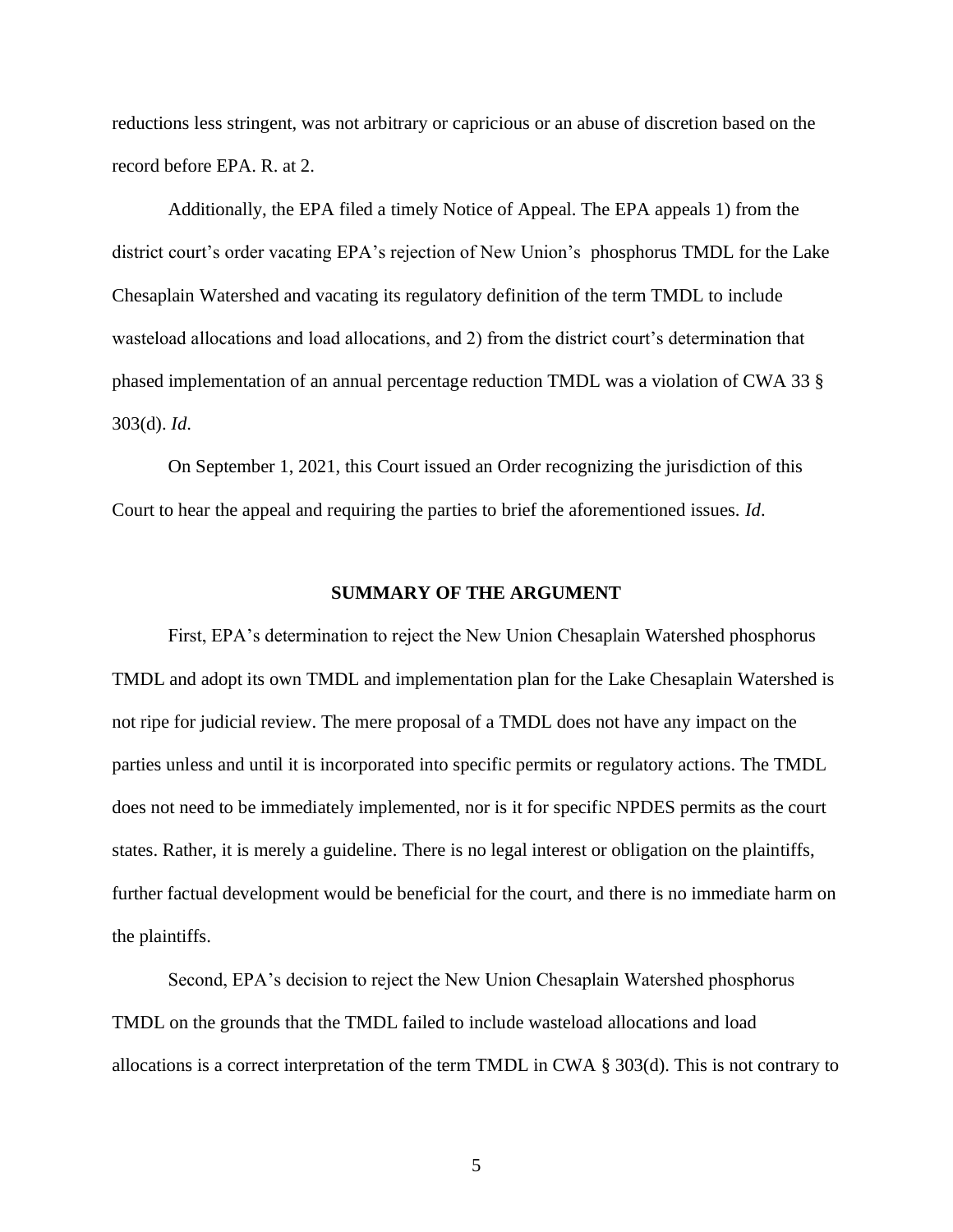reductions less stringent, was not arbitrary or capricious or an abuse of discretion based on the record before EPA. R. at 2.

Additionally, the EPA filed a timely Notice of Appeal. The EPA appeals 1) from the district court's order vacating EPA's rejection of New Union's phosphorus TMDL for the Lake Chesaplain Watershed and vacating its regulatory definition of the term TMDL to include wasteload allocations and load allocations, and 2) from the district court's determination that phased implementation of an annual percentage reduction TMDL was a violation of CWA 33 § 303(d). *Id*.

On September 1, 2021, this Court issued an Order recognizing the jurisdiction of this Court to hear the appeal and requiring the parties to brief the aforementioned issues. *Id*.

#### **SUMMARY OF THE ARGUMENT**

<span id="page-8-0"></span>First, EPA's determination to reject the New Union Chesaplain Watershed phosphorus TMDL and adopt its own TMDL and implementation plan for the Lake Chesaplain Watershed is not ripe for judicial review. The mere proposal of a TMDL does not have any impact on the parties unless and until it is incorporated into specific permits or regulatory actions. The TMDL does not need to be immediately implemented, nor is it for specific NPDES permits as the court states. Rather, it is merely a guideline. There is no legal interest or obligation on the plaintiffs, further factual development would be beneficial for the court, and there is no immediate harm on the plaintiffs.

Second, EPA's decision to reject the New Union Chesaplain Watershed phosphorus TMDL on the grounds that the TMDL failed to include wasteload allocations and load allocations is a correct interpretation of the term TMDL in CWA § 303(d). This is not contrary to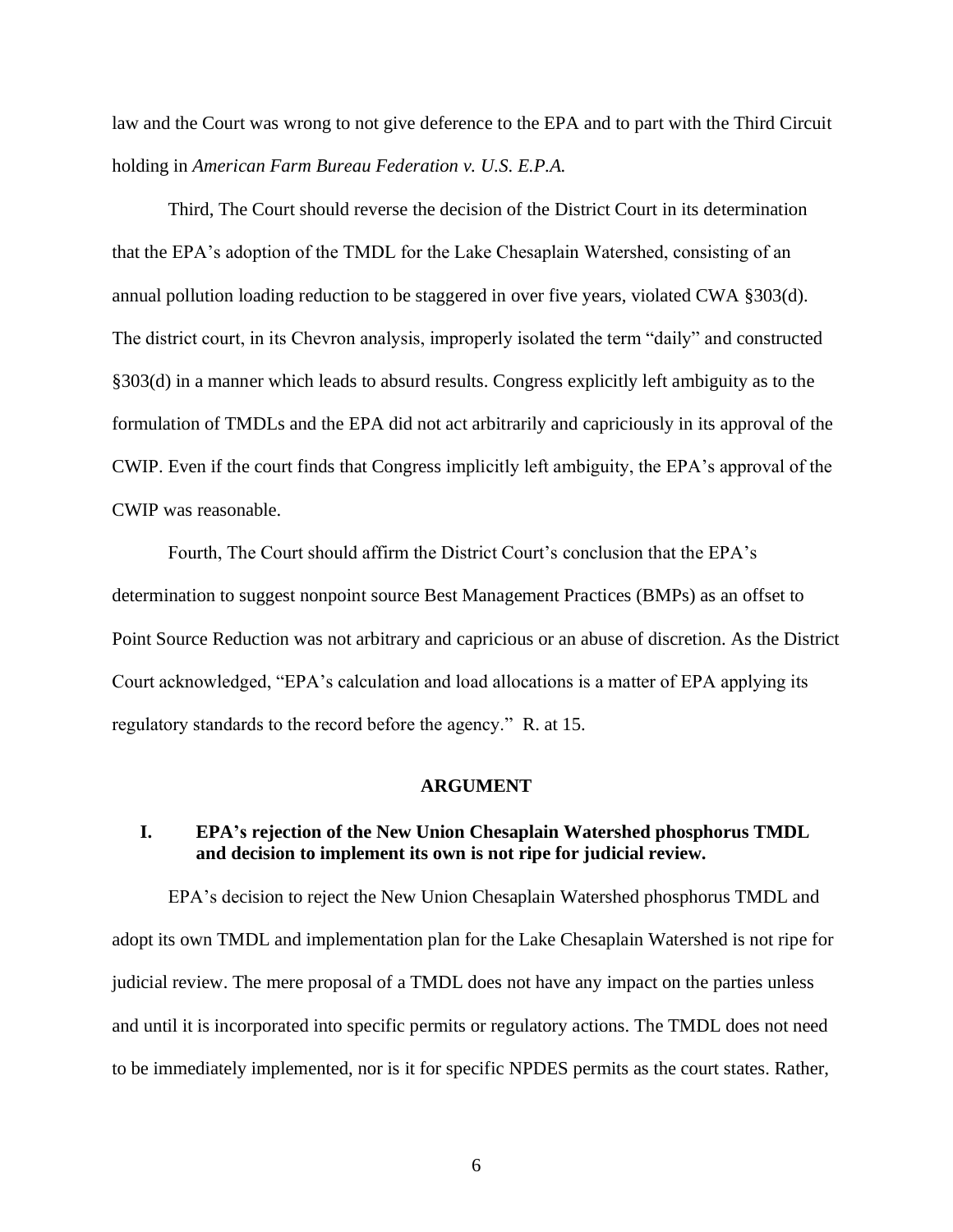law and the Court was wrong to not give deference to the EPA and to part with the Third Circuit holding in *American Farm Bureau Federation v. U.S. E.P.A.*

Third, The Court should reverse the decision of the District Court in its determination that the EPA's adoption of the TMDL for the Lake Chesaplain Watershed, consisting of an annual pollution loading reduction to be staggered in over five years, violated CWA §303(d). The district court, in its Chevron analysis, improperly isolated the term "daily" and constructed §303(d) in a manner which leads to absurd results. Congress explicitly left ambiguity as to the formulation of TMDLs and the EPA did not act arbitrarily and capriciously in its approval of the CWIP. Even if the court finds that Congress implicitly left ambiguity, the EPA's approval of the CWIP was reasonable.

Fourth, The Court should affirm the District Court's conclusion that the EPA's determination to suggest nonpoint source Best Management Practices (BMPs) as an offset to Point Source Reduction was not arbitrary and capricious or an abuse of discretion. As the District Court acknowledged, "EPA's calculation and load allocations is a matter of EPA applying its regulatory standards to the record before the agency." R. at 15.

#### **ARGUMENT**

## <span id="page-9-1"></span><span id="page-9-0"></span>**I. EPA's rejection of the New Union Chesaplain Watershed phosphorus TMDL and decision to implement its own is not ripe for judicial review.**

EPA's decision to reject the New Union Chesaplain Watershed phosphorus TMDL and adopt its own TMDL and implementation plan for the Lake Chesaplain Watershed is not ripe for judicial review. The mere proposal of a TMDL does not have any impact on the parties unless and until it is incorporated into specific permits or regulatory actions. The TMDL does not need to be immediately implemented, nor is it for specific NPDES permits as the court states. Rather,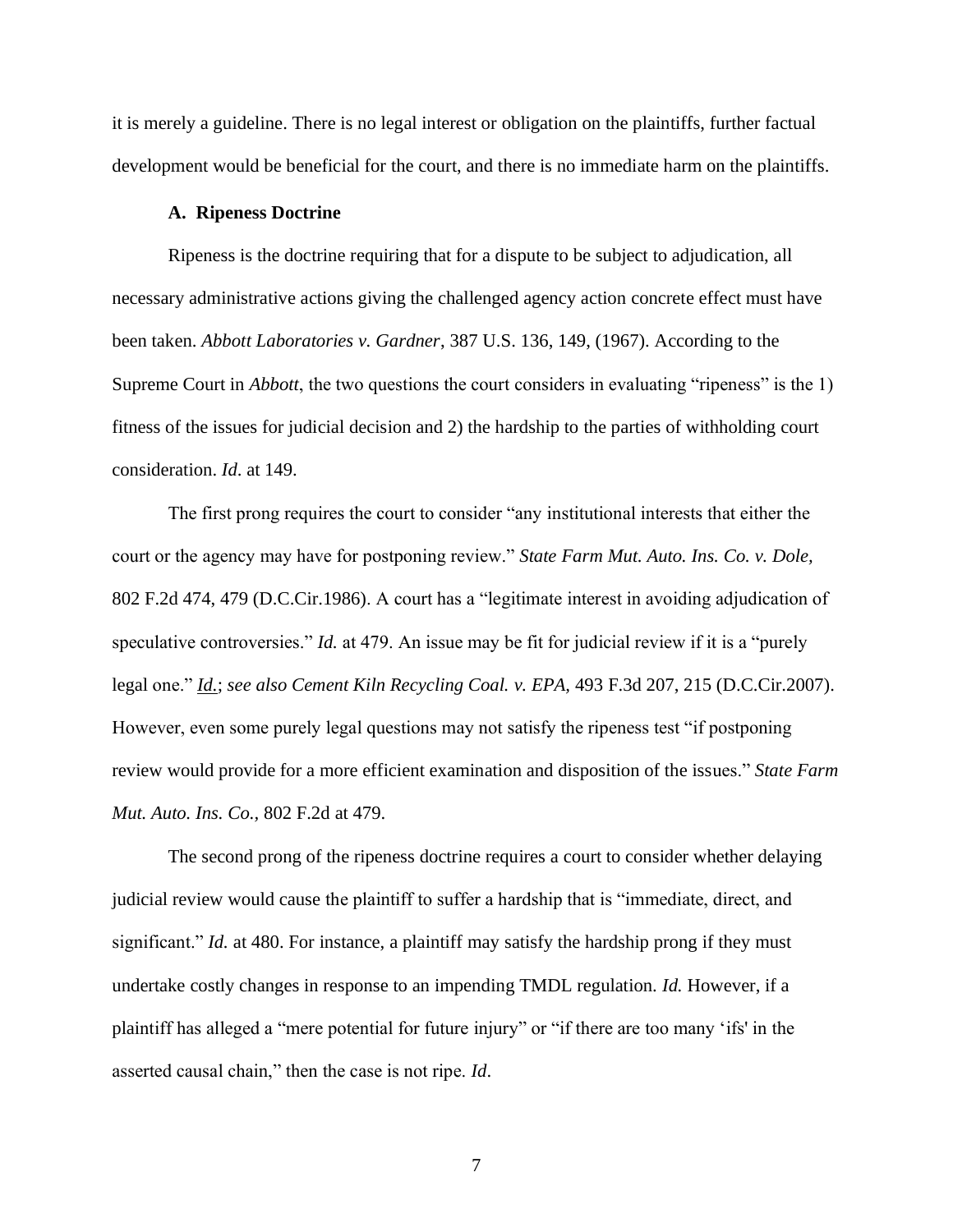it is merely a guideline. There is no legal interest or obligation on the plaintiffs, further factual development would be beneficial for the court, and there is no immediate harm on the plaintiffs.

#### **A. Ripeness Doctrine**

<span id="page-10-0"></span>Ripeness is the doctrine requiring that for a dispute to be subject to adjudication, all necessary administrative actions giving the challenged agency action concrete effect must have been taken. *Abbott Laboratories v. Gardner*, 387 U.S. 136, 149, (1967). According to the Supreme Court in *Abbott*, the two questions the court considers in evaluating "ripeness" is the 1) fitness of the issues for judicial decision and 2) the hardship to the parties of withholding court consideration. *Id*. at 149.

The first prong requires the court to consider "any institutional interests that either the court or the agency may have for postponing review." *State Farm Mut. Auto. Ins. Co. v. Dole,* 802 F.2d 474, 479 (D.C.Cir.1986). A court has a "legitimate interest in avoiding adjudication of speculative controversies." *Id.* at 479. An issue may be fit for judicial review if it is a "purely" legal one." *[Id.](https://1.next.westlaw.com/Link/Document/FullText?findType=Y&serNum=1986147940&originatingDoc=Ia0f747b102b511deb7e683ba170699a5&refType=RP&originationContext=document&transitionType=DocumentItem&ppcid=d5426e22abd14c3c8e2d25f0e54ed666&contextData=(sc.QASearch))*; *see also Cement Kiln Recycling Coal. v. EPA,* 493 F.3d 207, 215 (D.C.Cir.2007). However, even some purely legal questions may not satisfy the ripeness test "if postponing review would provide for a more efficient examination and disposition of the issues." *State Farm Mut. Auto. Ins. Co.,* 802 F.2d at 479.

The second prong of the ripeness doctrine requires a court to consider whether delaying judicial review would cause the plaintiff to suffer a hardship that is "immediate, direct, and significant." *Id.* at 480. For instance, a plaintiff may satisfy the hardship prong if they must undertake costly changes in response to an impending TMDL regulation. *Id.* However, if a plaintiff has alleged a "mere potential for future injury" or "if there are too many 'ifs' in the asserted causal chain," then the case is not ripe. *Id*.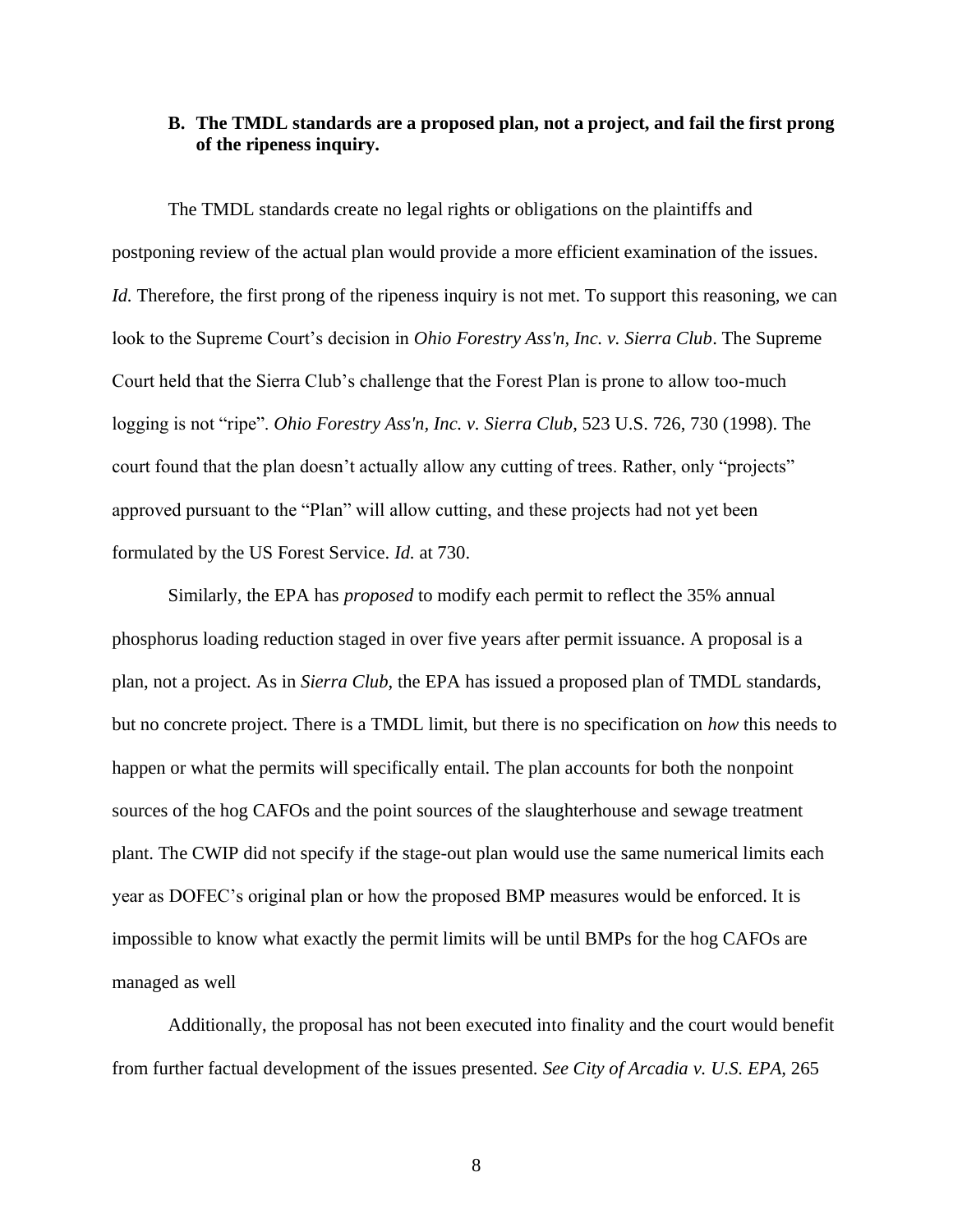### <span id="page-11-0"></span>**B. The TMDL standards are a proposed plan, not a project, and fail the first prong of the ripeness inquiry.**

The TMDL standards create no legal rights or obligations on the plaintiffs and postponing review of the actual plan would provide a more efficient examination of the issues. *Id.* Therefore, the first prong of the ripeness inquiry is not met. To support this reasoning, we can look to the Supreme Court's decision in *Ohio Forestry Ass'n, Inc. v. Sierra Club*. The Supreme Court held that the Sierra Club's challenge that the Forest Plan is prone to allow too-much logging is not "ripe". *Ohio Forestry Ass'n, Inc. v. Sierra Club*, 523 U.S. 726, 730 (1998). The court found that the plan doesn't actually allow any cutting of trees. Rather, only "projects" approved pursuant to the "Plan" will allow cutting, and these projects had not yet been formulated by the US Forest Service. *Id.* at 730.

Similarly, the EPA has *proposed* to modify each permit to reflect the 35% annual phosphorus loading reduction staged in over five years after permit issuance. A proposal is a plan, not a project. As in *Sierra Club*, the EPA has issued a proposed plan of TMDL standards, but no concrete project. There is a TMDL limit, but there is no specification on *how* this needs to happen or what the permits will specifically entail. The plan accounts for both the nonpoint sources of the hog CAFOs and the point sources of the slaughterhouse and sewage treatment plant. The CWIP did not specify if the stage-out plan would use the same numerical limits each year as DOFEC's original plan or how the proposed BMP measures would be enforced. It is impossible to know what exactly the permit limits will be until BMPs for the hog CAFOs are managed as well

Additionally, the proposal has not been executed into finality and the court would benefit from further factual development of the issues presented. *See City of Arcadia v. U.S. EPA,* 265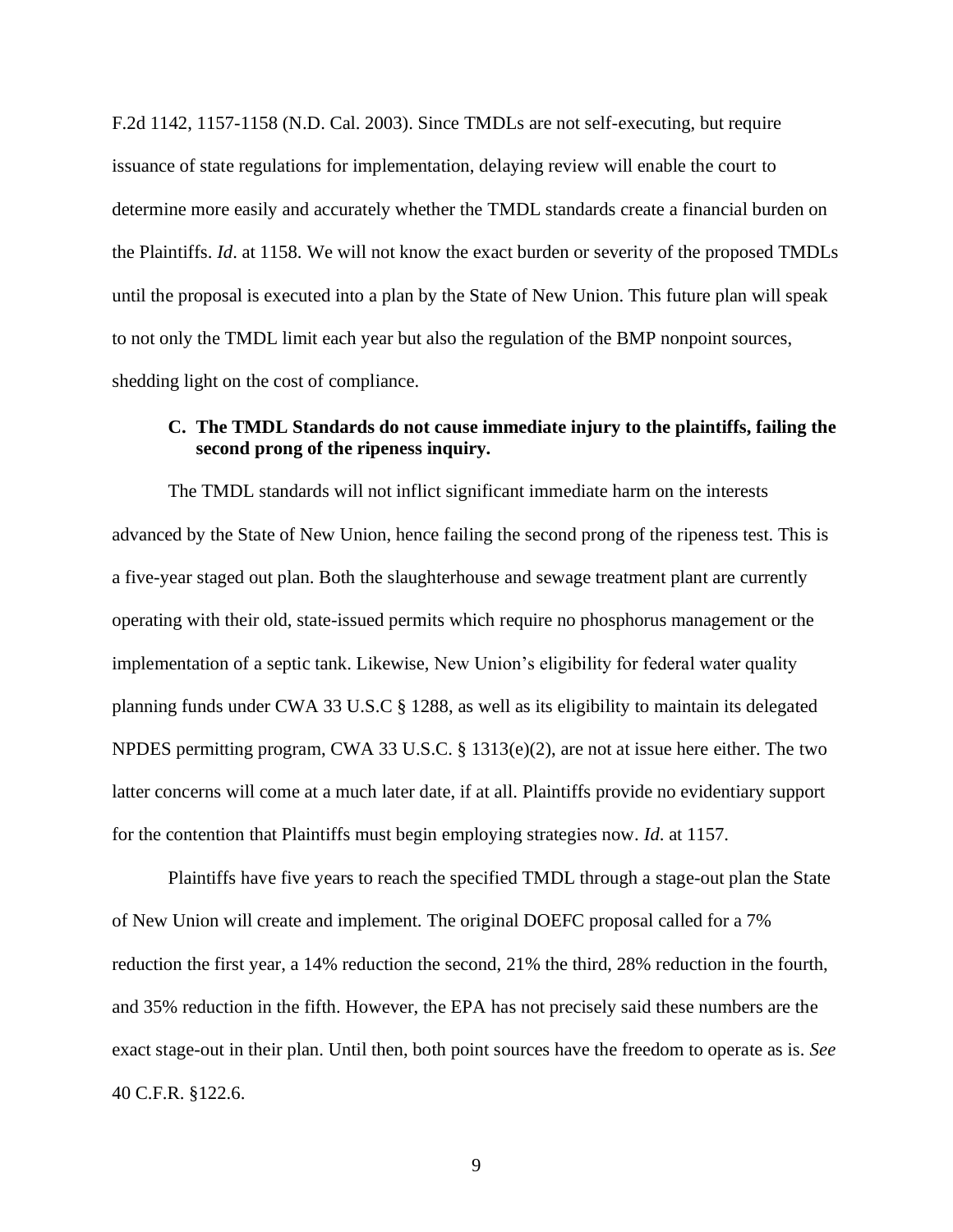F.2d 1142, 1157-1158 (N.D. Cal. 2003). Since TMDLs are not self-executing, but require issuance of state regulations for implementation, delaying review will enable the court to determine more easily and accurately whether the TMDL standards create a financial burden on the Plaintiffs. *Id*. at 1158. We will not know the exact burden or severity of the proposed TMDLs until the proposal is executed into a plan by the State of New Union. This future plan will speak to not only the TMDL limit each year but also the regulation of the BMP nonpoint sources, shedding light on the cost of compliance.

# <span id="page-12-0"></span>**C. The TMDL Standards do not cause immediate injury to the plaintiffs, failing the second prong of the ripeness inquiry.**

The TMDL standards will not inflict significant immediate harm on the interests advanced by the State of New Union, hence failing the second prong of the ripeness test. This is a five-year staged out plan. Both the slaughterhouse and sewage treatment plant are currently operating with their old, state-issued permits which require no phosphorus management or the implementation of a septic tank. Likewise, New Union's eligibility for federal water quality planning funds under CWA 33 U.S.C § 1288, as well as its eligibility to maintain its delegated NPDES permitting program, CWA 33 U.S.C. § 1313(e)(2), are not at issue here either. The two latter concerns will come at a much later date, if at all. Plaintiffs provide no evidentiary support for the contention that Plaintiffs must begin employing strategies now. *Id*. at 1157.

Plaintiffs have five years to reach the specified TMDL through a stage-out plan the State of New Union will create and implement. The original DOEFC proposal called for a 7% reduction the first year, a 14% reduction the second, 21% the third, 28% reduction in the fourth, and 35% reduction in the fifth. However, the EPA has not precisely said these numbers are the exact stage-out in their plan. Until then, both point sources have the freedom to operate as is. *See* 40 C.F.R. §122.6.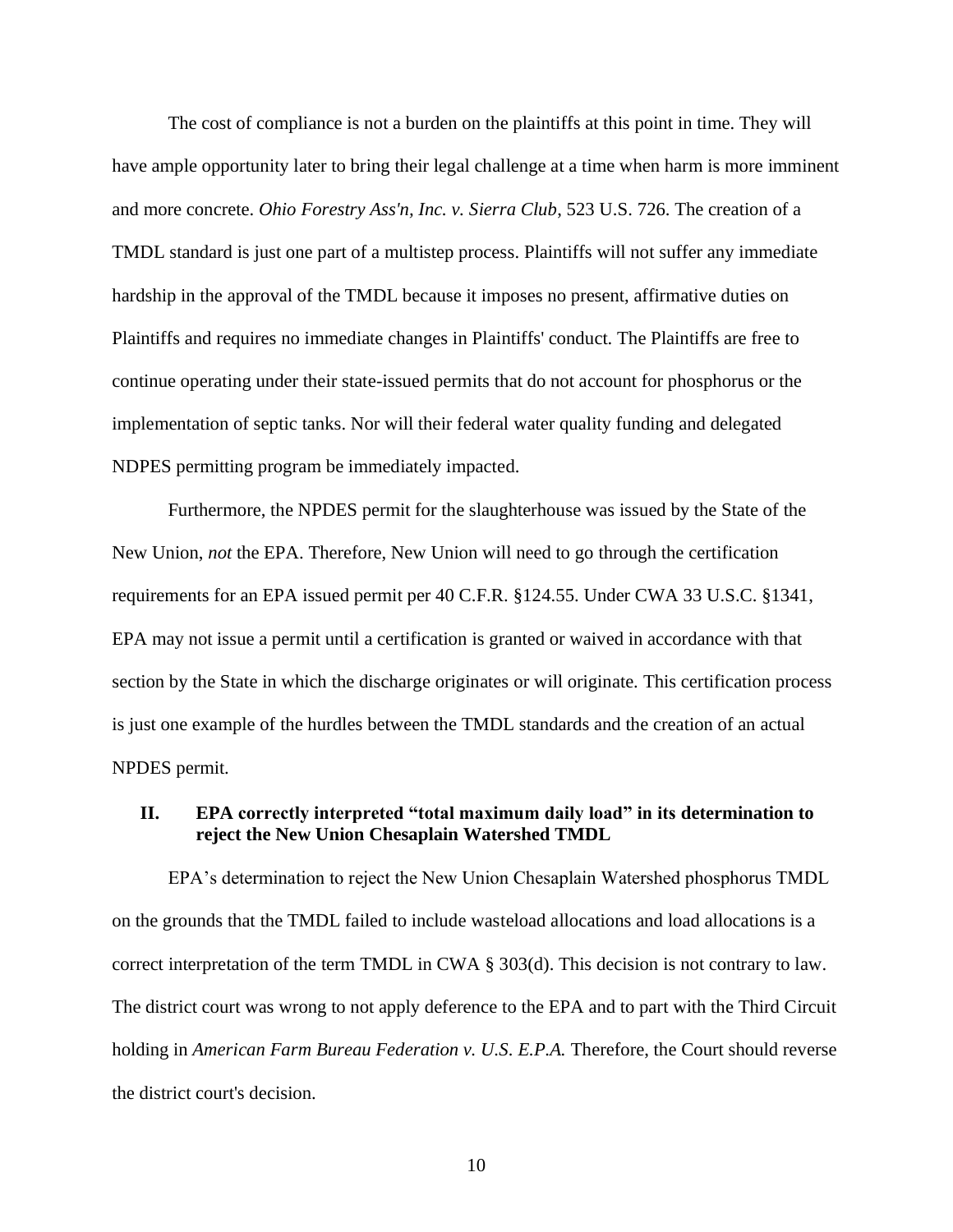The cost of compliance is not a burden on the plaintiffs at this point in time. They will have ample opportunity later to bring their legal challenge at a time when harm is more imminent and more concrete. *Ohio Forestry Ass'n, Inc. v. Sierra Club*, 523 U.S. 726. The creation of a TMDL standard is just one part of a multistep process. Plaintiffs will not suffer any immediate hardship in the approval of the TMDL because it imposes no present, affirmative duties on Plaintiffs and requires no immediate changes in Plaintiffs' conduct. The Plaintiffs are free to continue operating under their state-issued permits that do not account for phosphorus or the implementation of septic tanks. Nor will their federal water quality funding and delegated NDPES permitting program be immediately impacted.

Furthermore, the NPDES permit for the slaughterhouse was issued by the State of the New Union, *not* the EPA. Therefore, New Union will need to go through the certification requirements for an EPA issued permit per 40 C.F.R. §124.55. Under CWA 33 U.S.C. §1341, EPA may not issue a permit until a certification is granted or waived in accordance with that section by the State in which the discharge originates or will originate. This certification process is just one example of the hurdles between the TMDL standards and the creation of an actual NPDES permit.

## <span id="page-13-0"></span>**II. EPA correctly interpreted "total maximum daily load" in its determination to reject the New Union Chesaplain Watershed TMDL**

EPA's determination to reject the New Union Chesaplain Watershed phosphorus TMDL on the grounds that the TMDL failed to include wasteload allocations and load allocations is a correct interpretation of the term TMDL in CWA § 303(d). This decision is not contrary to law. The district court was wrong to not apply deference to the EPA and to part with the Third Circuit holding in *American Farm Bureau Federation v. U.S. E.P.A.* Therefore, the Court should reverse the district court's decision.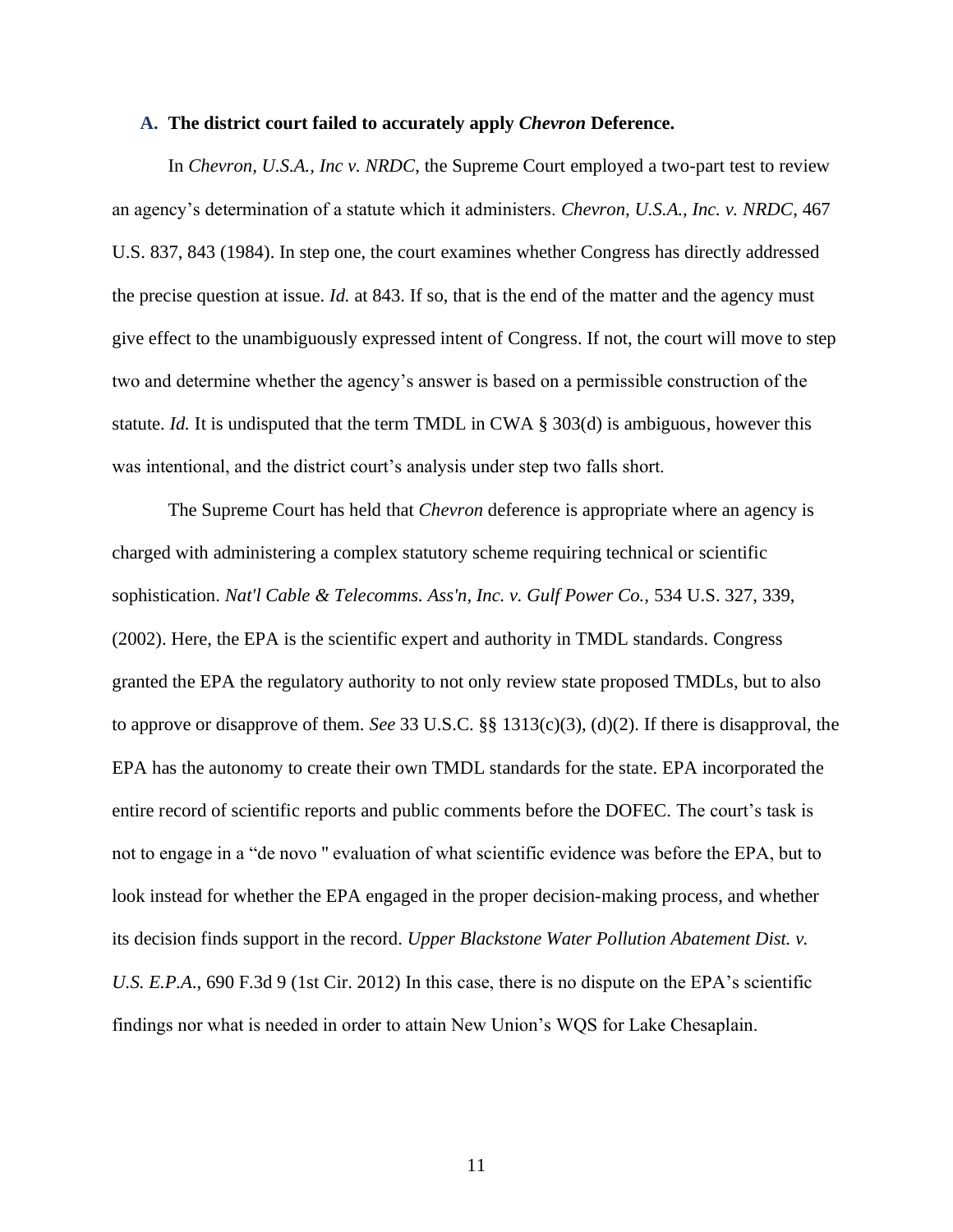#### <span id="page-14-0"></span>**A. The district court failed to accurately apply** *Chevron* **Deference.**

In *Chevron, U.S.A., Inc v. NRDC*, the Supreme Court employed a two-part test to review an agency's determination of a statute which it administers. *Chevron, U.S.A., Inc. v. NRDC*, 467 U.S. 837, 843 (1984). In step one, the court examines whether Congress has directly addressed the precise question at issue. *Id.* at 843. If so, that is the end of the matter and the agency must give effect to the unambiguously expressed intent of Congress. If not, the court will move to step two and determine whether the agency's answer is based on a permissible construction of the statute. *Id.* It is undisputed that the term TMDL in CWA § 303(d) is ambiguous, however this was intentional, and the district court's analysis under step two falls short.

The Supreme Court has held that *Chevron* deference is appropriate where an agency is charged with administering a complex statutory scheme requiring technical or scientific sophistication. *Nat'l Cable & Telecomms. Ass'n, Inc. v. Gulf Power Co.,* 534 U.S. 327, 339, (2002). Here, the EPA is the scientific expert and authority in TMDL standards. Congress granted the EPA the regulatory authority to not only review state proposed TMDLs, but to also to approve or disapprove of them. *See* 33 U.S.C. §§ 1313(c)(3), (d)(2). If there is disapproval, the EPA has the autonomy to create their own TMDL standards for the state. EPA incorporated the entire record of scientific reports and public comments before the DOFEC. The court's task is not to engage in a "de novo '' evaluation of what scientific evidence was before the EPA, but to look instead for whether the EPA engaged in the proper decision-making process, and whether its decision finds support in the record. *Upper Blackstone Water Pollution Abatement Dist. v. U.S. E.P.A*., 690 F.3d 9 (1st Cir. 2012) In this case, there is no dispute on the EPA's scientific findings nor what is needed in order to attain New Union's WQS for Lake Chesaplain.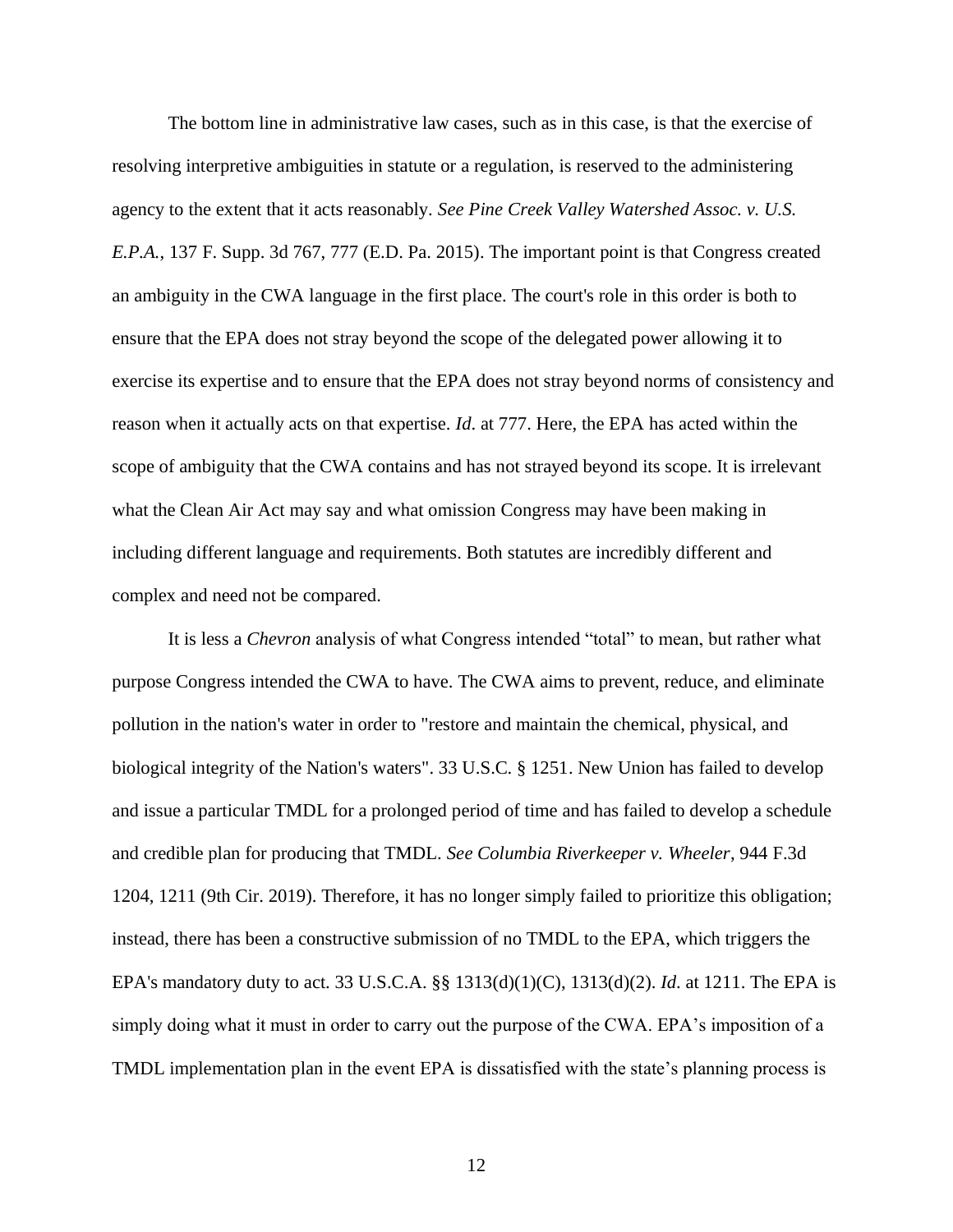The bottom line in administrative law cases, such as in this case, is that the exercise of resolving interpretive ambiguities in statute or a regulation, is reserved to the administering agency to the extent that it acts reasonably. *See Pine Creek Valley Watershed Assoc. v. U.S. E.P.A.*, 137 F. Supp. 3d 767, 777 (E.D. Pa. 2015). The important point is that Congress created an ambiguity in the CWA language in the first place. The court's role in this order is both to ensure that the EPA does not stray beyond the scope of the delegated power allowing it to exercise its expertise and to ensure that the EPA does not stray beyond norms of consistency and reason when it actually acts on that expertise. *Id*. at 777. Here, the EPA has acted within the scope of ambiguity that the CWA contains and has not strayed beyond its scope. It is irrelevant what the Clean Air Act may say and what omission Congress may have been making in including different language and requirements. Both statutes are incredibly different and complex and need not be compared.

It is less a *Chevron* analysis of what Congress intended "total" to mean, but rather what purpose Congress intended the CWA to have. The CWA aims to prevent, reduce, and eliminate pollution in the nation's water in order to "restore and maintain the chemical, physical, and biological integrity of the Nation's waters". 33 U.S.C. § 1251. New Union has failed to develop and issue a particular TMDL for a prolonged period of time and has failed to develop a schedule and credible plan for producing that TMDL. *See Columbia Riverkeeper v. Wheeler*, 944 F.3d 1204, 1211 (9th Cir. 2019). Therefore, it has no longer simply failed to prioritize this obligation; instead, there has been a constructive submission of no TMDL to the EPA, which triggers the EPA's mandatory duty to act. 33 U.S.C.A. §§ 1313(d)(1)(C), 1313(d)(2). *Id*. at 1211. The EPA is simply doing what it must in order to carry out the purpose of the CWA. EPA's imposition of a TMDL implementation plan in the event EPA is dissatisfied with the state's planning process is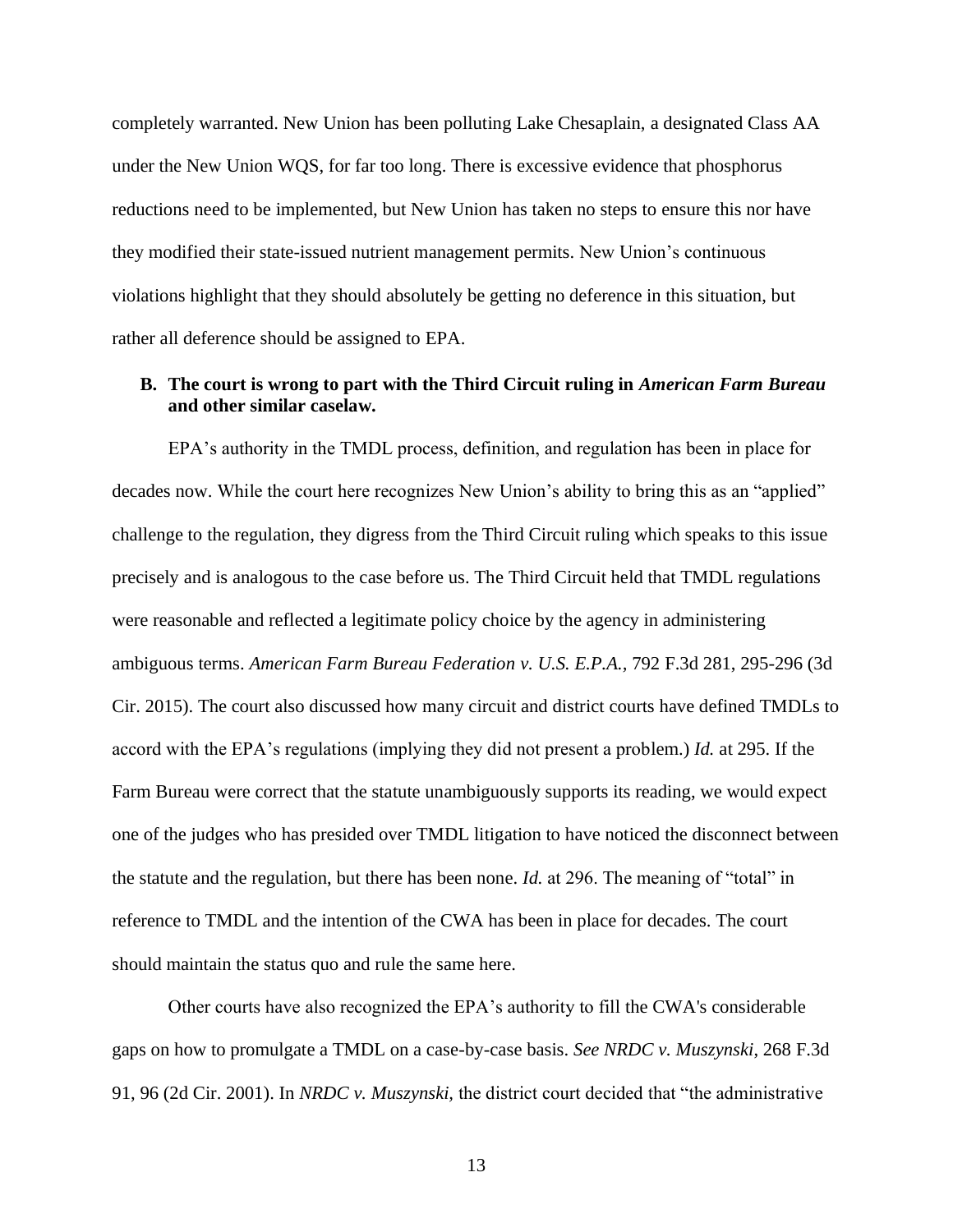completely warranted. New Union has been polluting Lake Chesaplain, a designated Class AA under the New Union WQS, for far too long. There is excessive evidence that phosphorus reductions need to be implemented, but New Union has taken no steps to ensure this nor have they modified their state-issued nutrient management permits. New Union's continuous violations highlight that they should absolutely be getting no deference in this situation, but rather all deference should be assigned to EPA.

## <span id="page-16-0"></span>**B. The court is wrong to part with the Third Circuit ruling in** *American Farm Bureau* **and other similar caselaw.**

EPA's authority in the TMDL process, definition, and regulation has been in place for decades now. While the court here recognizes New Union's ability to bring this as an "applied" challenge to the regulation, they digress from the Third Circuit ruling which speaks to this issue precisely and is analogous to the case before us. The Third Circuit held that TMDL regulations were reasonable and reflected a legitimate policy choice by the agency in administering ambiguous terms. *American Farm Bureau Federation v. U.S. E.P.A.,* 792 F.3d 281, 295-296 (3d Cir. 2015). The court also discussed how many circuit and district courts have defined TMDLs to accord with the EPA's regulations (implying they did not present a problem.) *Id.* at 295. If the Farm Bureau were correct that the statute unambiguously supports its reading, we would expect one of the judges who has presided over TMDL litigation to have noticed the disconnect between the statute and the regulation, but there has been none. *Id.* at 296. The meaning of "total" in reference to TMDL and the intention of the CWA has been in place for decades. The court should maintain the status quo and rule the same here.

Other courts have also recognized the EPA's authority to fill the CWA's considerable gaps on how to promulgate a TMDL on a case-by-case basis. *See NRDC v. Muszynski*, 268 F.3d 91, 96 (2d Cir. 2001). In *NRDC v. Muszynski,* the district court decided that "the administrative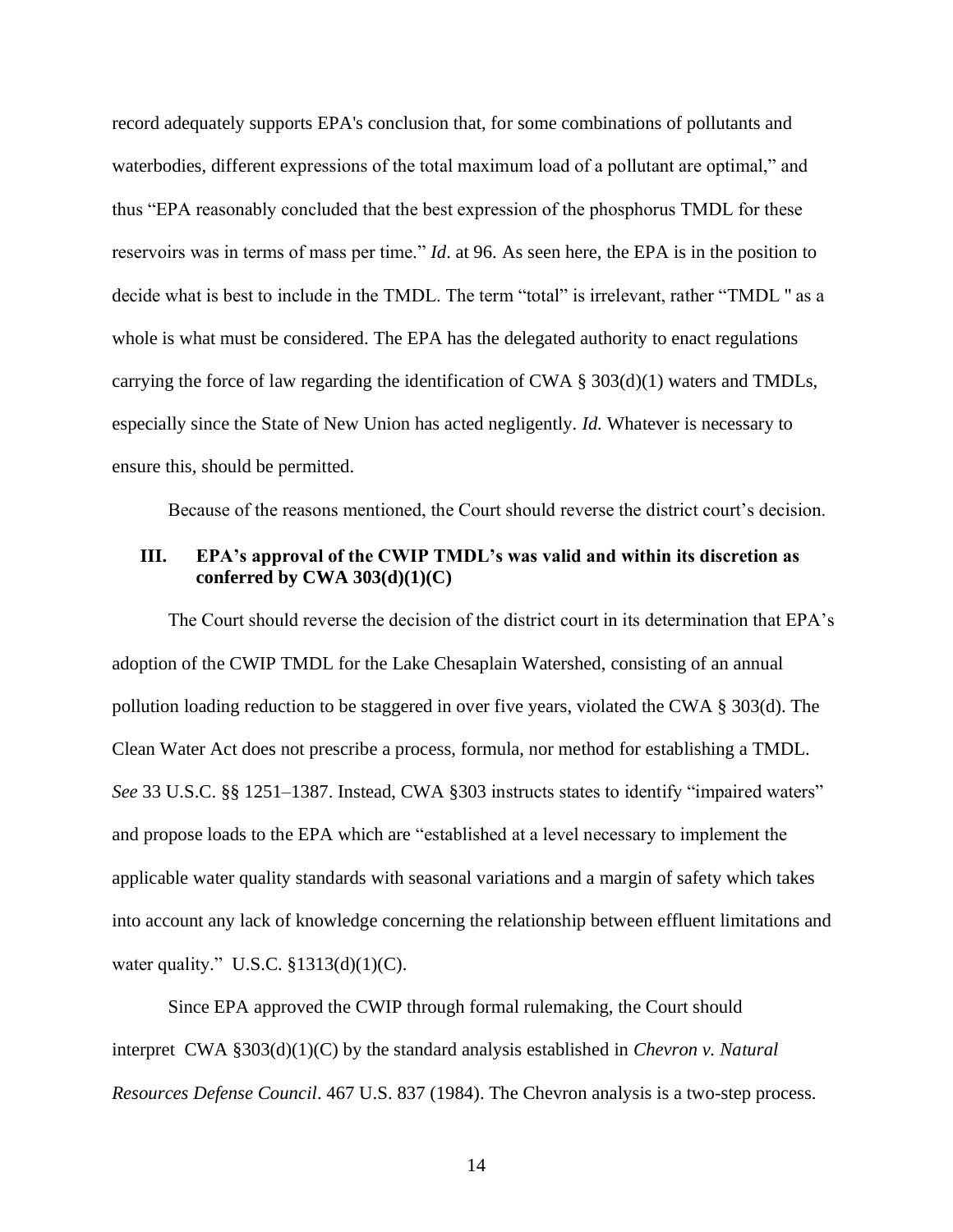record adequately supports EPA's conclusion that, for some combinations of pollutants and waterbodies, different expressions of the total maximum load of a pollutant are optimal," and thus "EPA reasonably concluded that the best expression of the phosphorus TMDL for these reservoirs was in terms of mass per time." *Id*. at 96. As seen here, the EPA is in the position to decide what is best to include in the TMDL. The term "total" is irrelevant, rather "TMDL '' as a whole is what must be considered. The EPA has the delegated authority to enact regulations carrying the force of law regarding the identification of CWA  $\S 303(d)(1)$  waters and TMDLs, especially since the State of New Union has acted negligently. *Id.* Whatever is necessary to ensure this, should be permitted.

Because of the reasons mentioned, the Court should reverse the district court's decision.

## <span id="page-17-0"></span>**III. EPA's approval of the CWIP TMDL's was valid and within its discretion as conferred by CWA 303(d)(1)(C)**

The Court should reverse the decision of the district court in its determination that EPA's adoption of the CWIP TMDL for the Lake Chesaplain Watershed, consisting of an annual pollution loading reduction to be staggered in over five years, violated the CWA § 303(d). The Clean Water Act does not prescribe a process, formula, nor method for establishing a TMDL. *See* 33 U.S.C. §§ 1251–1387. Instead, CWA §303 instructs states to identify "impaired waters" and propose loads to the EPA which are "established at a level necessary to implement the applicable water quality standards with seasonal variations and a margin of safety which takes into account any lack of knowledge concerning the relationship between effluent limitations and water quality." U.S.C.  $$1313(d)(1)(C)$ .

Since EPA approved the CWIP through formal rulemaking, the Court should interpret CWA §303(d)(1)(C) by the standard analysis established in *Chevron v. Natural Resources Defense Council*. 467 U.S. 837 (1984). The Chevron analysis is a two-step process.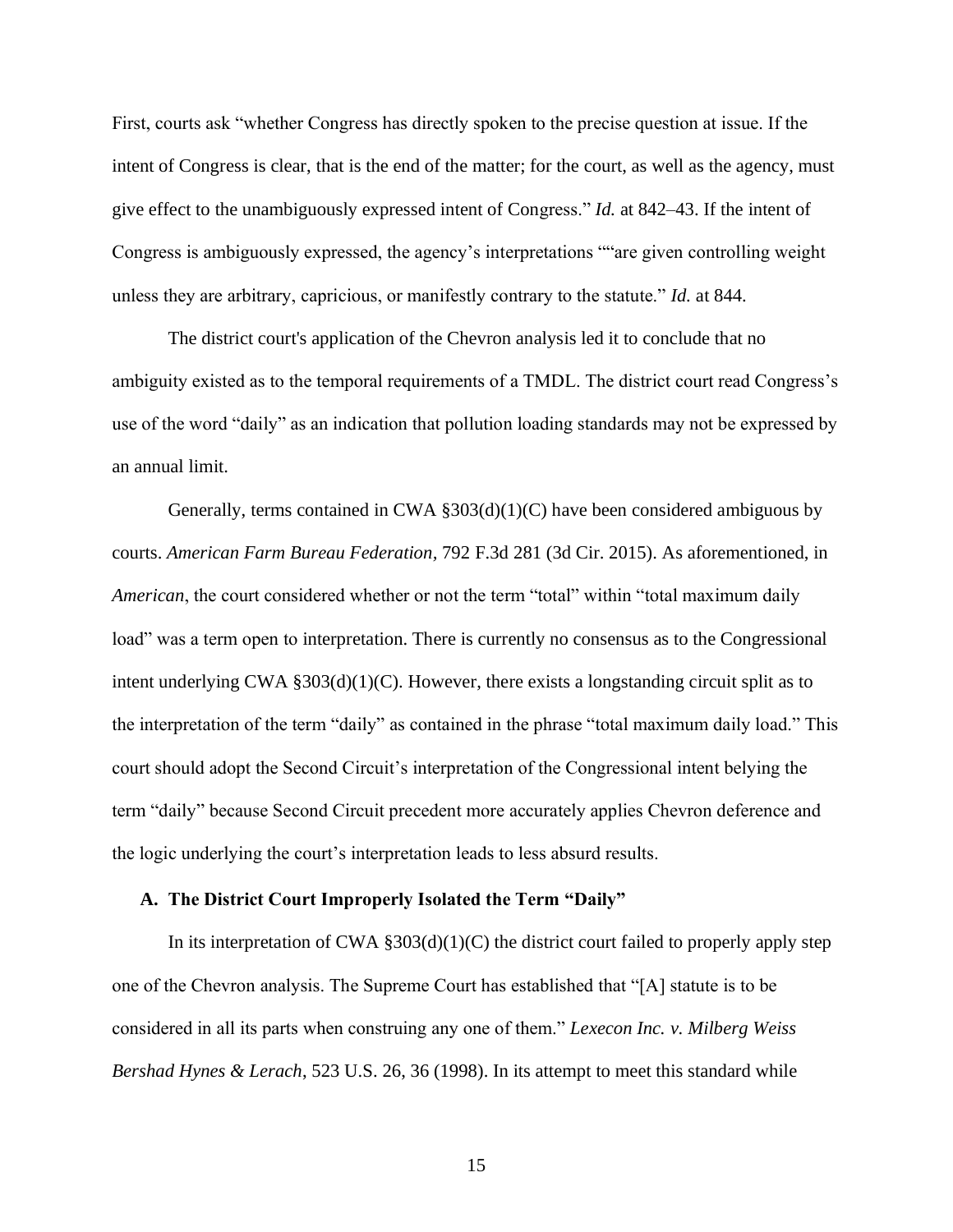First, courts ask "whether Congress has directly spoken to the precise question at issue. If the intent of Congress is clear, that is the end of the matter; for the court, as well as the agency, must give effect to the unambiguously expressed intent of Congress." *Id.* at 842–43. If the intent of Congress is ambiguously expressed, the agency's interpretations ""are given controlling weight unless they are arbitrary, capricious, or manifestly contrary to the statute." *Id.* at 844.

The district court's application of the Chevron analysis led it to conclude that no ambiguity existed as to the temporal requirements of a TMDL. The district court read Congress's use of the word "daily" as an indication that pollution loading standards may not be expressed by an annual limit.

Generally, terms contained in CWA §303(d)(1)(C) have been considered ambiguous by courts. *American Farm Bureau Federation,* 792 F.3d 281 (3d Cir. 2015). As aforementioned, in *American*, the court considered whether or not the term "total" within "total maximum daily load" was a term open to interpretation. There is currently no consensus as to the Congressional intent underlying CWA §303(d)(1)(C). However, there exists a longstanding circuit split as to the interpretation of the term "daily" as contained in the phrase "total maximum daily load." This court should adopt the Second Circuit's interpretation of the Congressional intent belying the term "daily" because Second Circuit precedent more accurately applies Chevron deference and the logic underlying the court's interpretation leads to less absurd results.

### <span id="page-18-0"></span>**A. The District Court Improperly Isolated the Term "Daily"**

In its interpretation of CWA  $\S 303(d)(1)(C)$  the district court failed to properly apply step one of the Chevron analysis. The Supreme Court has established that "[A] statute is to be considered in all its parts when construing any one of them." *Lexecon Inc. v. Milberg Weiss Bershad Hynes & Lerach*, 523 U.S. 26, 36 (1998). In its attempt to meet this standard while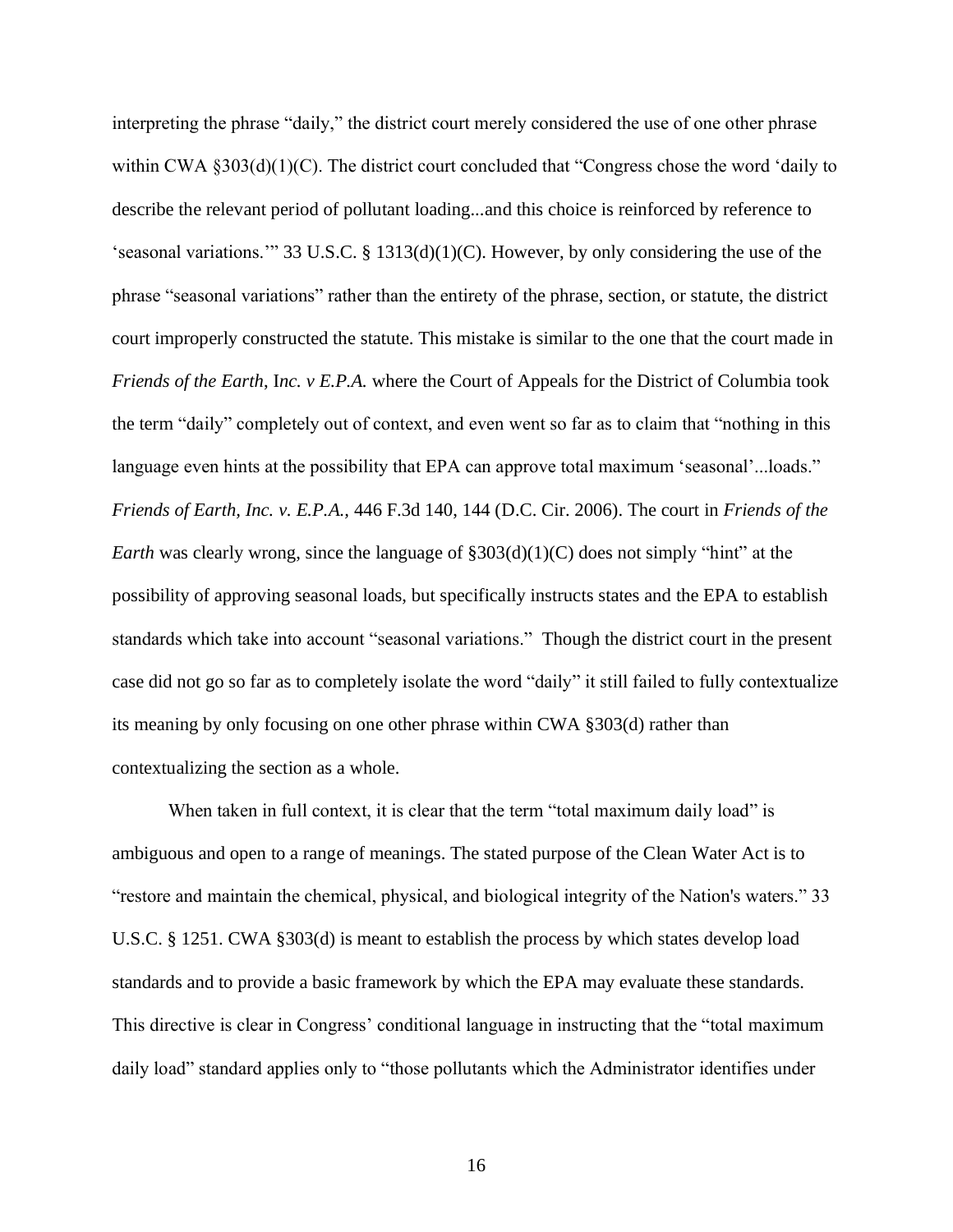interpreting the phrase "daily," the district court merely considered the use of one other phrase within CWA §303(d)(1)(C). The district court concluded that "Congress chose the word 'daily to describe the relevant period of pollutant loading...and this choice is reinforced by reference to 'seasonal variations.'" 33 U.S.C. § 1313(d)(1)(C). However, by only considering the use of the phrase "seasonal variations" rather than the entirety of the phrase, section, or statute, the district court improperly constructed the statute. This mistake is similar to the one that the court made in *Friends of the Earth*, I*nc. v E.P.A.* where the Court of Appeals for the District of Columbia took the term "daily" completely out of context, and even went so far as to claim that "nothing in this language even hints at the possibility that EPA can approve total maximum 'seasonal'...loads." *Friends of Earth, Inc. v. E.P.A.,* 446 F.3d 140, 144 (D.C. Cir. 2006). The court in *Friends of the Earth* was clearly wrong, since the language of  $\S 303(d)(1)(C)$  does not simply "hint" at the possibility of approving seasonal loads, but specifically instructs states and the EPA to establish standards which take into account "seasonal variations." Though the district court in the present case did not go so far as to completely isolate the word "daily" it still failed to fully contextualize its meaning by only focusing on one other phrase within CWA §303(d) rather than contextualizing the section as a whole.

When taken in full context, it is clear that the term "total maximum daily load" is ambiguous and open to a range of meanings. The stated purpose of the Clean Water Act is to "restore and maintain the chemical, physical, and biological integrity of the Nation's waters." 33 U.S.C. § 1251. CWA §303(d) is meant to establish the process by which states develop load standards and to provide a basic framework by which the EPA may evaluate these standards. This directive is clear in Congress' conditional language in instructing that the "total maximum daily load" standard applies only to "those pollutants which the Administrator identifies under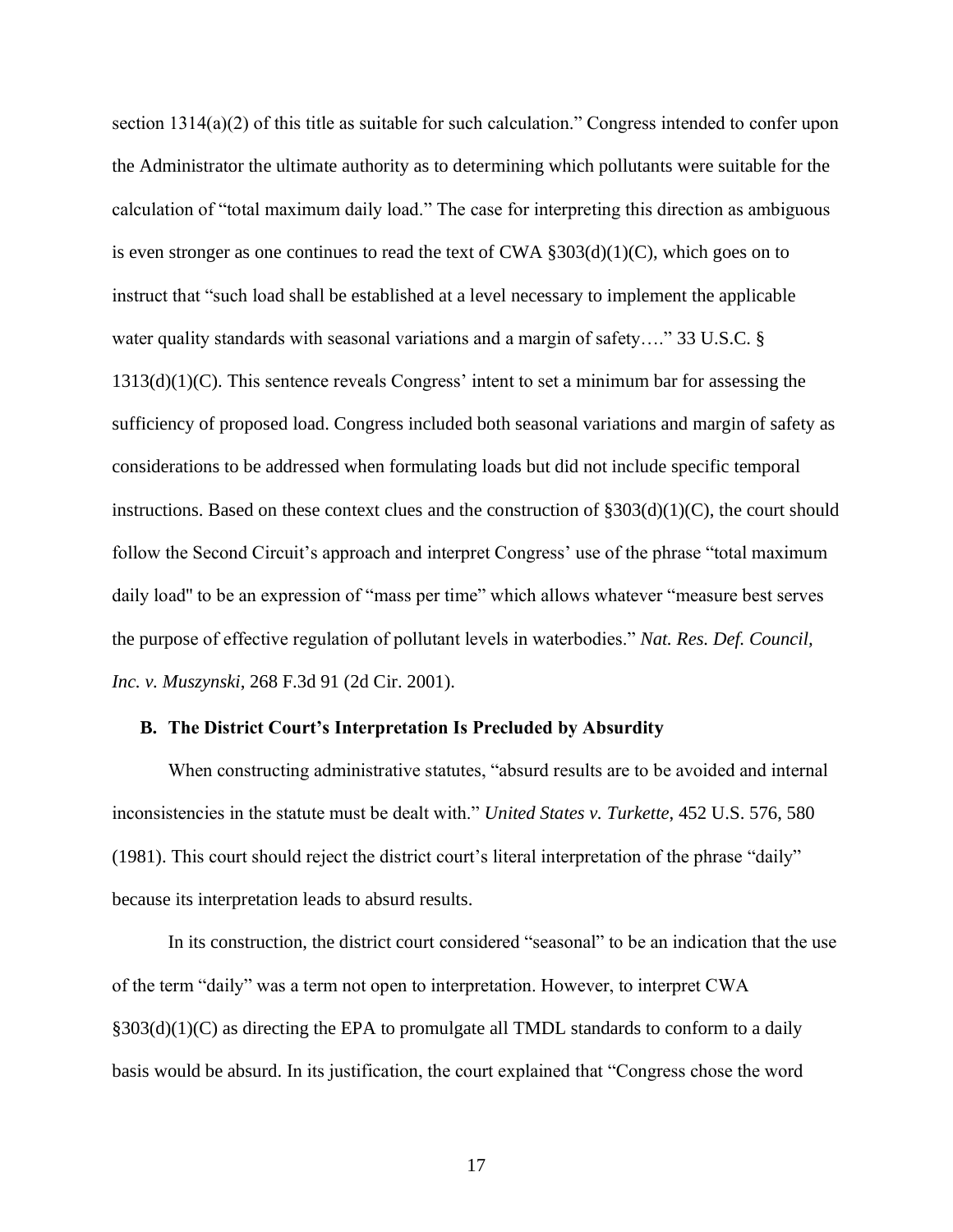section 1314(a)(2) of this title as suitable for such calculation." Congress intended to confer upon the Administrator the ultimate authority as to determining which pollutants were suitable for the calculation of "total maximum daily load." The case for interpreting this direction as ambiguous is even stronger as one continues to read the text of CWA  $\S 303(d)(1)(C)$ , which goes on to instruct that "such load shall be established at a level necessary to implement the applicable water quality standards with seasonal variations and a margin of safety...." 33 U.S.C. §  $1313(d)(1)(C)$ . This sentence reveals Congress' intent to set a minimum bar for assessing the sufficiency of proposed load. Congress included both seasonal variations and margin of safety as considerations to be addressed when formulating loads but did not include specific temporal instructions. Based on these context clues and the construction of  $\S 303(d)(1)(C)$ , the court should follow the Second Circuit's approach and interpret Congress' use of the phrase "total maximum daily load'' to be an expression of "mass per time" which allows whatever "measure best serves the purpose of effective regulation of pollutant levels in waterbodies." *Nat. Res. Def. Council, Inc. v. Muszynski*, 268 F.3d 91 (2d Cir. 2001).

#### <span id="page-20-0"></span>**B. The District Court's Interpretation Is Precluded by Absurdity**

When constructing administrative statutes, "absurd results are to be avoided and internal inconsistencies in the statute must be dealt with." *United States v. Turkette*, 452 U.S. 576, 580 (1981). This court should reject the district court's literal interpretation of the phrase "daily" because its interpretation leads to absurd results.

In its construction, the district court considered "seasonal" to be an indication that the use of the term "daily" was a term not open to interpretation. However, to interpret CWA §303(d)(1)(C) as directing the EPA to promulgate all TMDL standards to conform to a daily basis would be absurd. In its justification, the court explained that "Congress chose the word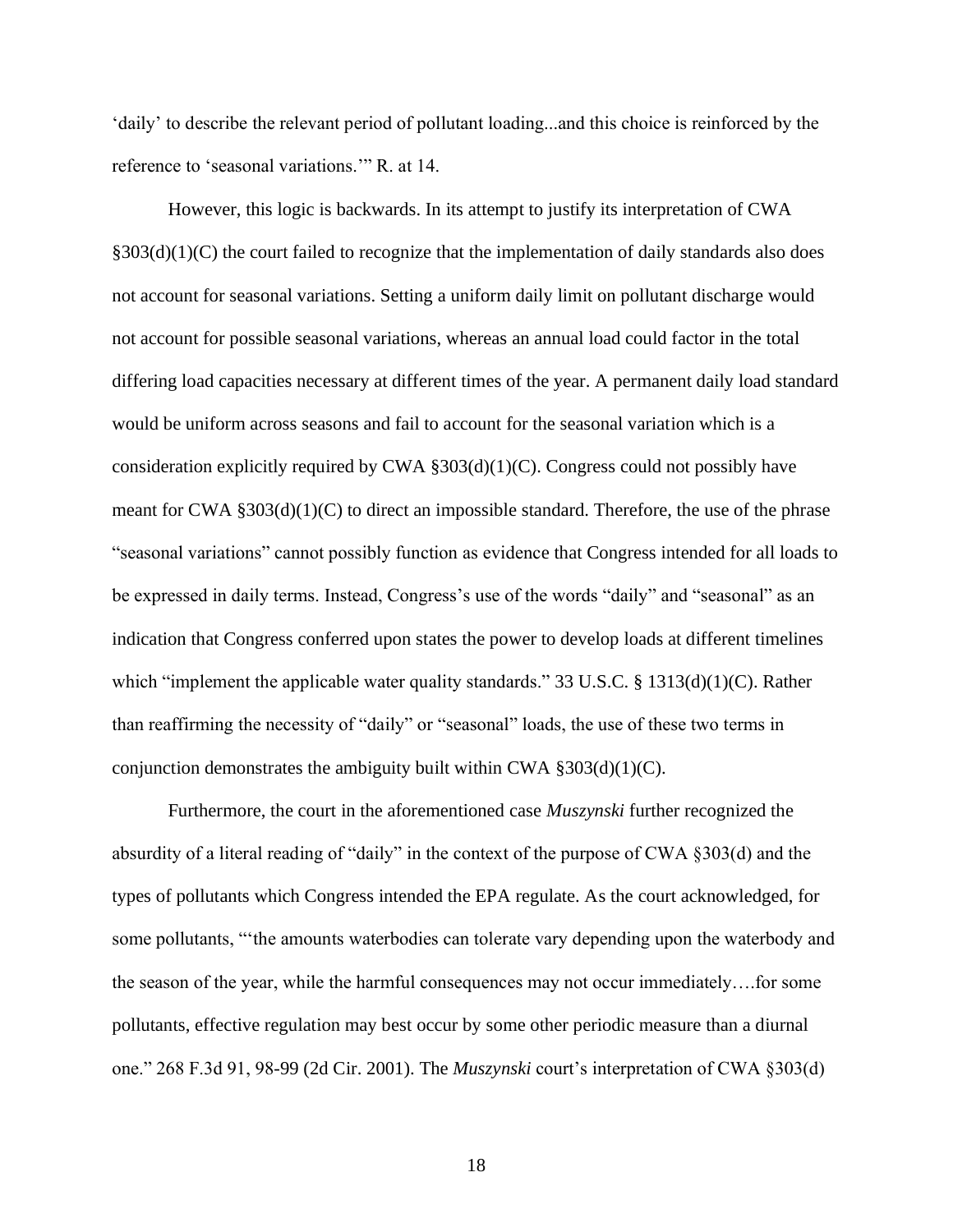'daily' to describe the relevant period of pollutant loading...and this choice is reinforced by the reference to 'seasonal variations.'" R. at 14.

However, this logic is backwards. In its attempt to justify its interpretation of CWA  $§303(d)(1)(C)$  the court failed to recognize that the implementation of daily standards also does not account for seasonal variations. Setting a uniform daily limit on pollutant discharge would not account for possible seasonal variations, whereas an annual load could factor in the total differing load capacities necessary at different times of the year. A permanent daily load standard would be uniform across seasons and fail to account for the seasonal variation which is a consideration explicitly required by CWA  $\S 303(d)(1)(C)$ . Congress could not possibly have meant for CWA  $\S 303(d)(1)(C)$  to direct an impossible standard. Therefore, the use of the phrase "seasonal variations" cannot possibly function as evidence that Congress intended for all loads to be expressed in daily terms. Instead, Congress's use of the words "daily" and "seasonal" as an indication that Congress conferred upon states the power to develop loads at different timelines which "implement the applicable water quality standards." 33 U.S.C. § 1313(d)(1)(C). Rather than reaffirming the necessity of "daily" or "seasonal" loads, the use of these two terms in conjunction demonstrates the ambiguity built within CWA  $\S 303(d)(1)(C)$ .

Furthermore, the court in the aforementioned case *Muszynski* further recognized the absurdity of a literal reading of "daily" in the context of the purpose of CWA §303(d) and the types of pollutants which Congress intended the EPA regulate. As the court acknowledged, for some pollutants, "'the amounts waterbodies can tolerate vary depending upon the waterbody and the season of the year, while the harmful consequences may not occur immediately….for some pollutants, effective regulation may best occur by some other periodic measure than a diurnal one." 268 F.3d 91, 98-99 (2d Cir. 2001). The *Muszynski* court's interpretation of CWA §303(d)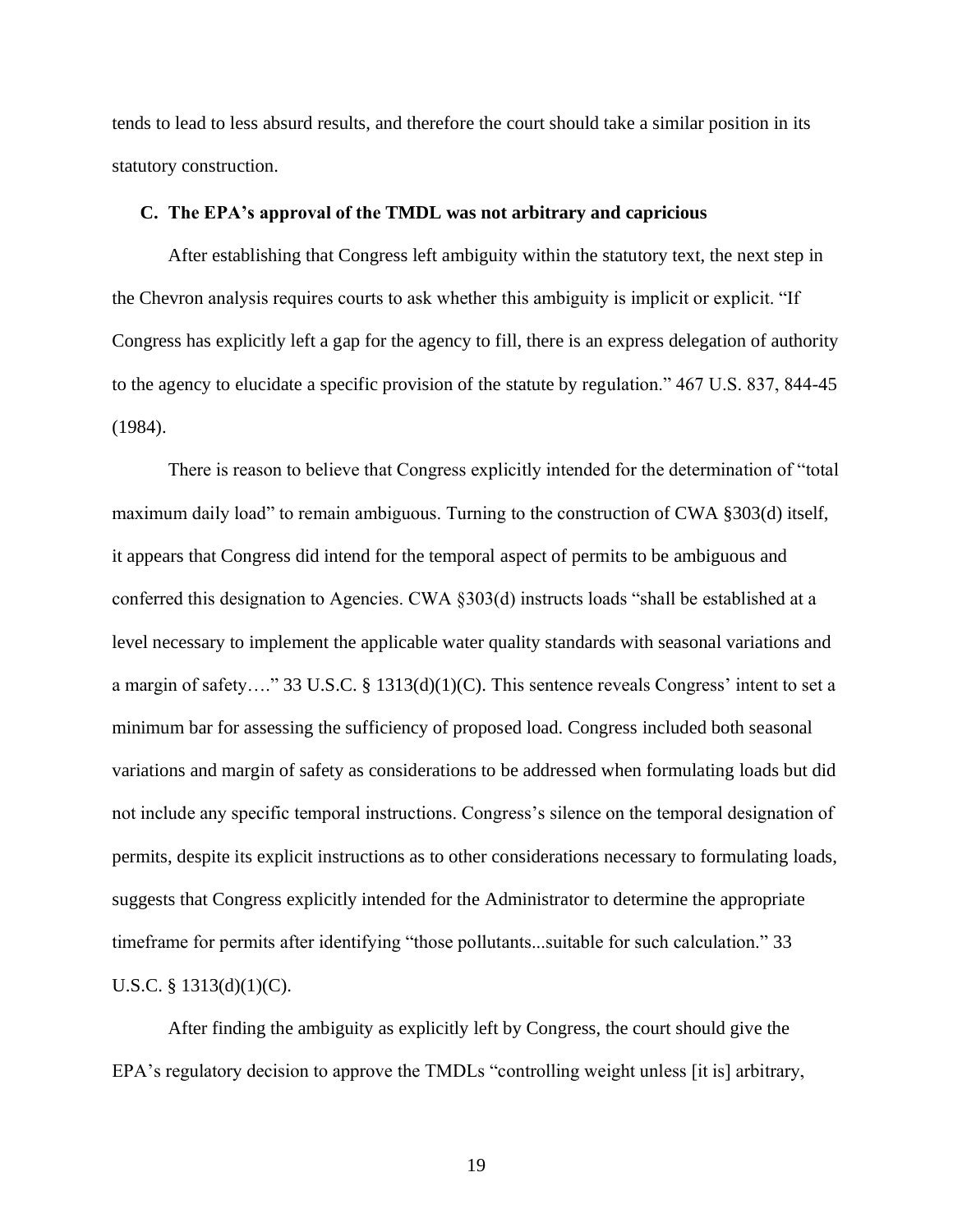tends to lead to less absurd results, and therefore the court should take a similar position in its statutory construction.

#### <span id="page-22-0"></span>**C. The EPA's approval of the TMDL was not arbitrary and capricious**

After establishing that Congress left ambiguity within the statutory text, the next step in the Chevron analysis requires courts to ask whether this ambiguity is implicit or explicit. "If Congress has explicitly left a gap for the agency to fill, there is an express delegation of authority to the agency to elucidate a specific provision of the statute by regulation." 467 U.S. 837, 844-45 (1984).

There is reason to believe that Congress explicitly intended for the determination of "total maximum daily load" to remain ambiguous. Turning to the construction of CWA §303(d) itself, it appears that Congress did intend for the temporal aspect of permits to be ambiguous and conferred this designation to Agencies. CWA §303(d) instructs loads "shall be established at a level necessary to implement the applicable water quality standards with seasonal variations and a margin of safety…." 33 U.S.C. § 1313(d)(1)(C). This sentence reveals Congress' intent to set a minimum bar for assessing the sufficiency of proposed load. Congress included both seasonal variations and margin of safety as considerations to be addressed when formulating loads but did not include any specific temporal instructions. Congress's silence on the temporal designation of permits, despite its explicit instructions as to other considerations necessary to formulating loads, suggests that Congress explicitly intended for the Administrator to determine the appropriate timeframe for permits after identifying "those pollutants...suitable for such calculation." 33 U.S.C. § 1313(d)(1)(C).

After finding the ambiguity as explicitly left by Congress, the court should give the EPA's regulatory decision to approve the TMDLs "controlling weight unless [it is] arbitrary,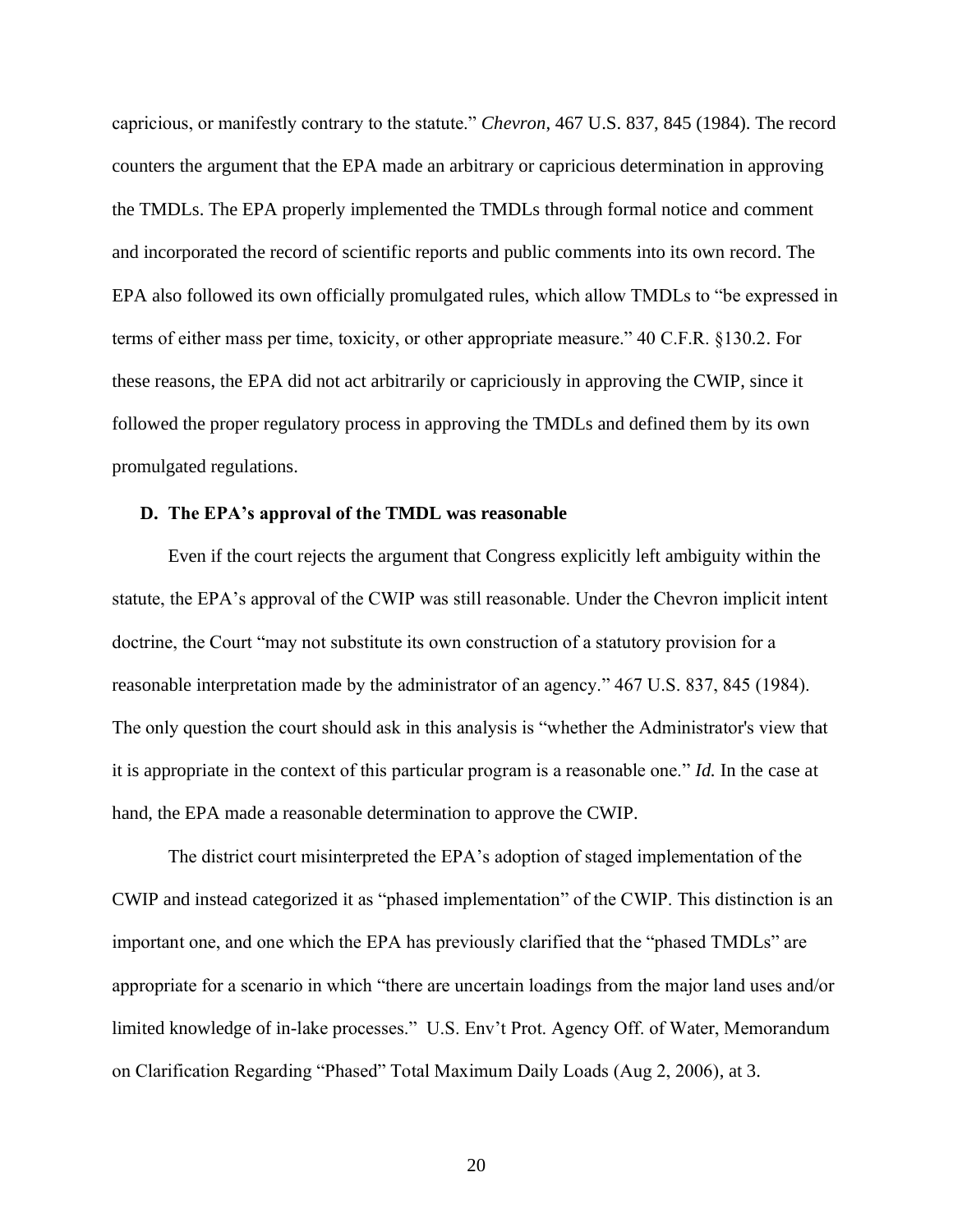capricious, or manifestly contrary to the statute." *Chevron*, 467 U.S. 837, 845 (1984). The record counters the argument that the EPA made an arbitrary or capricious determination in approving the TMDLs. The EPA properly implemented the TMDLs through formal notice and comment and incorporated the record of scientific reports and public comments into its own record. The EPA also followed its own officially promulgated rules, which allow TMDLs to "be expressed in terms of either mass per time, toxicity, or other appropriate measure." 40 C.F.R. §130.2. For these reasons, the EPA did not act arbitrarily or capriciously in approving the CWIP, since it followed the proper regulatory process in approving the TMDLs and defined them by its own promulgated regulations.

#### <span id="page-23-0"></span>**D. The EPA's approval of the TMDL was reasonable**

Even if the court rejects the argument that Congress explicitly left ambiguity within the statute, the EPA's approval of the CWIP was still reasonable. Under the Chevron implicit intent doctrine, the Court "may not substitute its own construction of a statutory provision for a reasonable interpretation made by the administrator of an agency." 467 U.S. 837, 845 (1984). The only question the court should ask in this analysis is "whether the Administrator's view that it is appropriate in the context of this particular program is a reasonable one." *Id.* In the case at hand, the EPA made a reasonable determination to approve the CWIP.

The district court misinterpreted the EPA's adoption of staged implementation of the CWIP and instead categorized it as "phased implementation" of the CWIP. This distinction is an important one, and one which the EPA has previously clarified that the "phased TMDLs" are appropriate for a scenario in which "there are uncertain loadings from the major land uses and/or limited knowledge of in-lake processes." U.S. Env't Prot. Agency Off. of Water, Memorandum on Clarification Regarding "Phased" Total Maximum Daily Loads (Aug 2, 2006), at 3.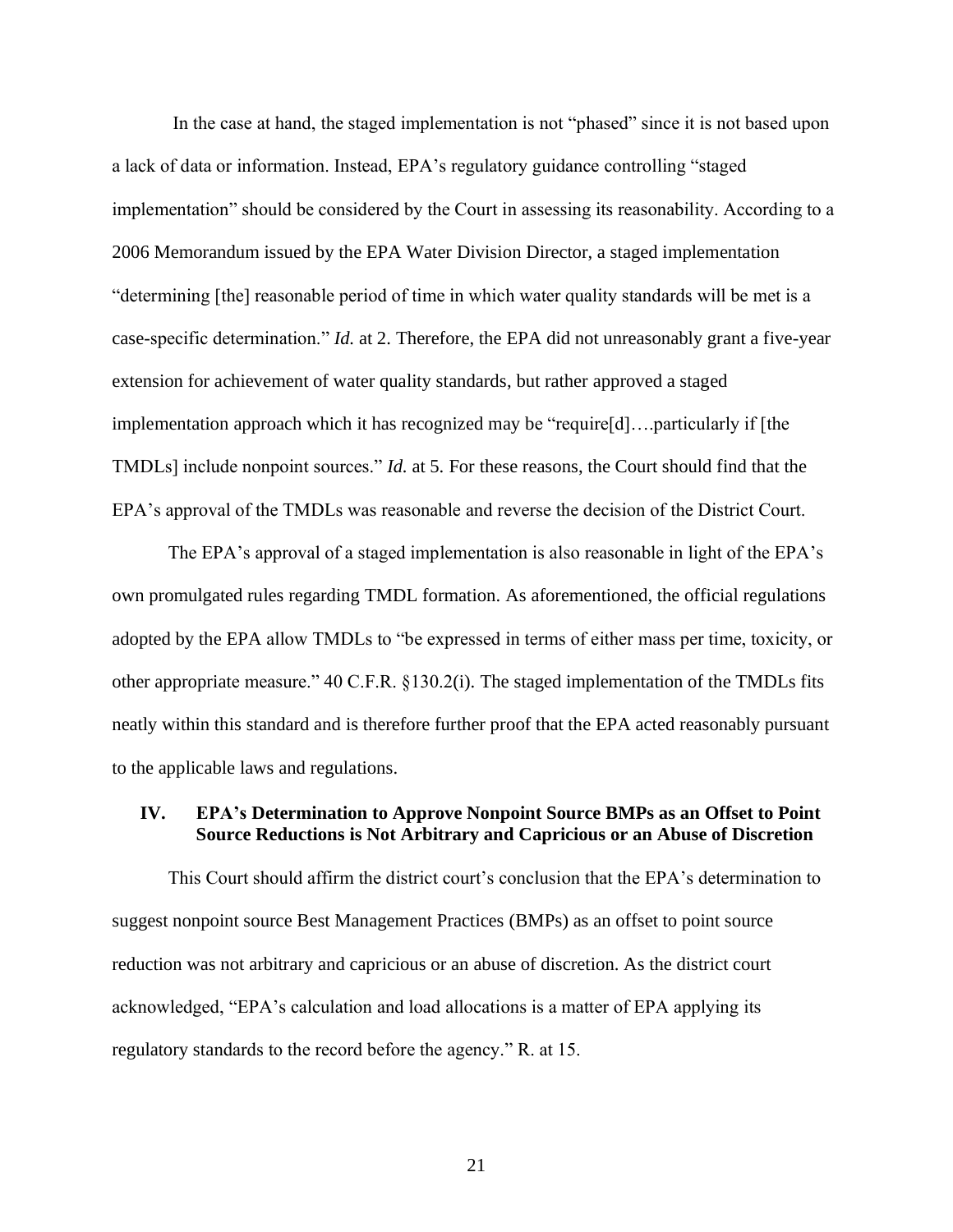In the case at hand, the staged implementation is not "phased" since it is not based upon a lack of data or information. Instead, EPA's regulatory guidance controlling "staged implementation" should be considered by the Court in assessing its reasonability. According to a 2006 Memorandum issued by the EPA Water Division Director, a staged implementation "determining [the] reasonable period of time in which water quality standards will be met is a case-specific determination." *Id.* at 2. Therefore, the EPA did not unreasonably grant a five-year extension for achievement of water quality standards, but rather approved a staged implementation approach which it has recognized may be "require[d]….particularly if [the TMDLs] include nonpoint sources." *Id.* at 5. For these reasons, the Court should find that the EPA's approval of the TMDLs was reasonable and reverse the decision of the District Court.

The EPA's approval of a staged implementation is also reasonable in light of the EPA's own promulgated rules regarding TMDL formation. As aforementioned, the official regulations adopted by the EPA allow TMDLs to "be expressed in terms of either mass per time, toxicity, or other appropriate measure." 40 C.F.R. §130.2(i). The staged implementation of the TMDLs fits neatly within this standard and is therefore further proof that the EPA acted reasonably pursuant to the applicable laws and regulations.

## <span id="page-24-0"></span>**IV. EPA's Determination to Approve Nonpoint Source BMPs as an Offset to Point Source Reductions is Not Arbitrary and Capricious or an Abuse of Discretion**

This Court should affirm the district court's conclusion that the EPA's determination to suggest nonpoint source Best Management Practices (BMPs) as an offset to point source reduction was not arbitrary and capricious or an abuse of discretion. As the district court acknowledged, "EPA's calculation and load allocations is a matter of EPA applying its regulatory standards to the record before the agency." R. at 15.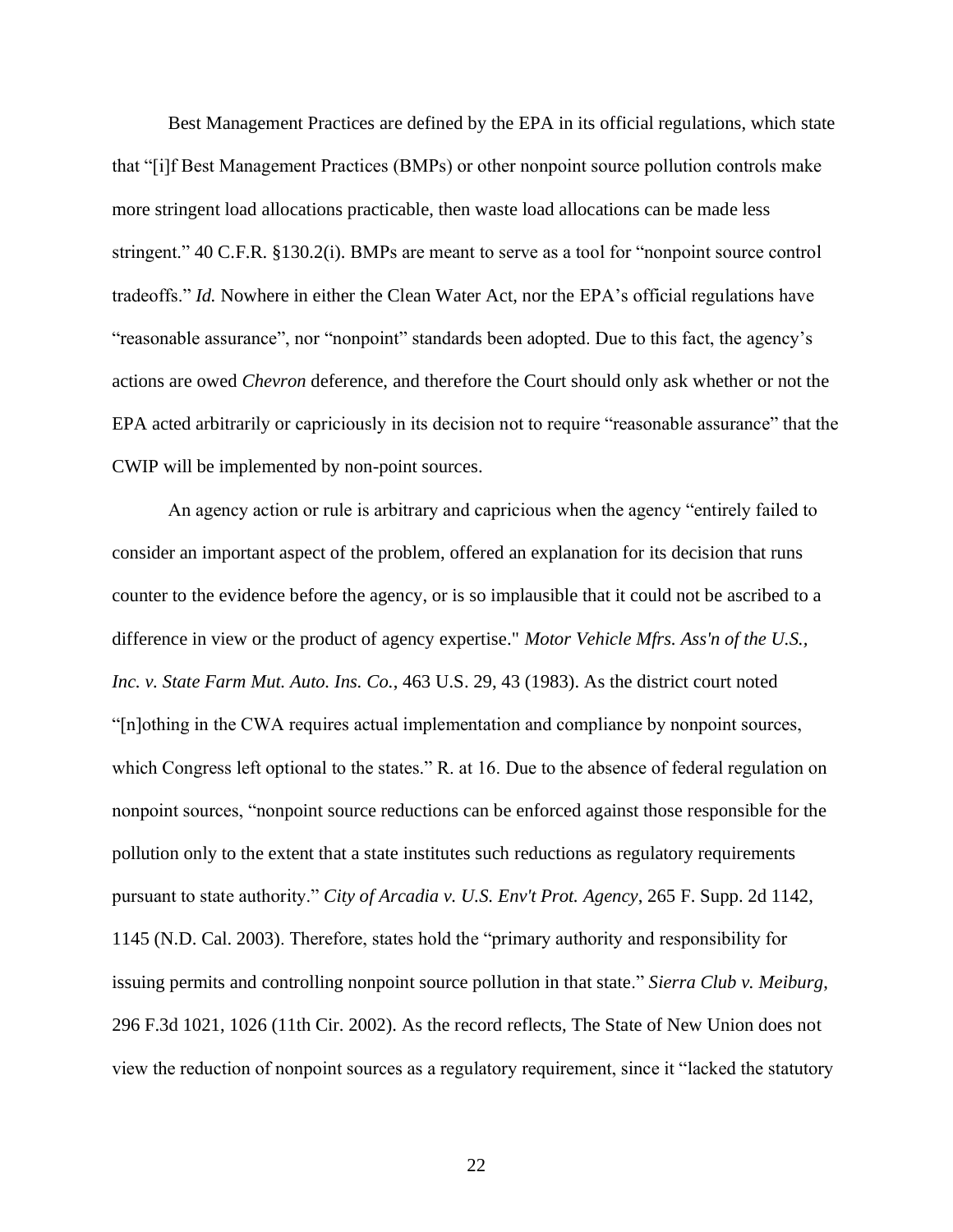Best Management Practices are defined by the EPA in its official regulations, which state that "[i]f Best Management Practices (BMPs) or other nonpoint source pollution controls make more stringent load allocations practicable, then waste load allocations can be made less stringent." 40 C.F.R. §130.2(i). BMPs are meant to serve as a tool for "nonpoint source control tradeoffs." *Id.* Nowhere in either the Clean Water Act, nor the EPA's official regulations have "reasonable assurance", nor "nonpoint" standards been adopted. Due to this fact, the agency's actions are owed *Chevron* deference, and therefore the Court should only ask whether or not the EPA acted arbitrarily or capriciously in its decision not to require "reasonable assurance" that the CWIP will be implemented by non-point sources.

An agency action or rule is arbitrary and capricious when the agency "entirely failed to consider an important aspect of the problem, offered an explanation for its decision that runs counter to the evidence before the agency, or is so implausible that it could not be ascribed to a difference in view or the product of agency expertise." *Motor Vehicle Mfrs. Ass'n of the U.S., Inc. v. State Farm Mut. Auto. Ins. Co.*, 463 U.S. 29, 43 (1983). As the district court noted "[n]othing in the CWA requires actual implementation and compliance by nonpoint sources, which Congress left optional to the states." R. at 16. Due to the absence of federal regulation on nonpoint sources, "nonpoint source reductions can be enforced against those responsible for the pollution only to the extent that a state institutes such reductions as regulatory requirements pursuant to state authority." *City of Arcadia v. U.S. Env't Prot. Agency*, 265 F. Supp. 2d 1142, 1145 (N.D. Cal. 2003). Therefore, states hold the "primary authority and responsibility for issuing permits and controlling nonpoint source pollution in that state." *Sierra Club v. Meiburg*, 296 F.3d 1021, 1026 (11th Cir. 2002). As the record reflects, The State of New Union does not view the reduction of nonpoint sources as a regulatory requirement, since it "lacked the statutory